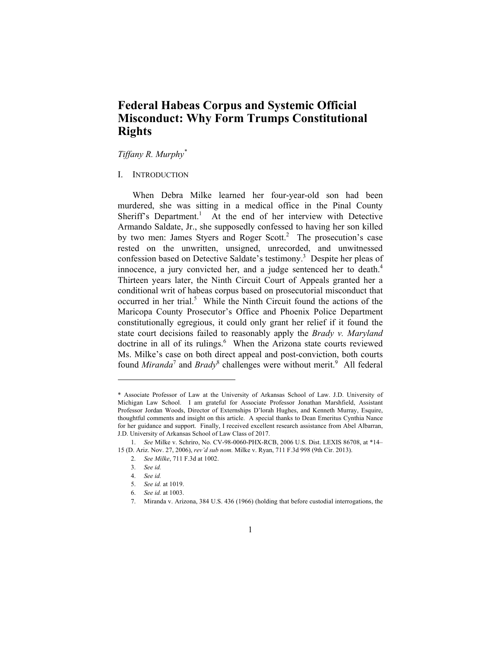# **Federal Habeas Corpus and Systemic Official Misconduct: Why Form Trumps Constitutional Rights**

*Tiffany R. Murphy\**

# I. INTRODUCTION

When Debra Milke learned her four-year-old son had been murdered, she was sitting in a medical office in the Pinal County Sheriff's Department.<sup>1</sup> At the end of her interview with Detective Armando Saldate, Jr., she supposedly confessed to having her son killed by two men: James Styers and Roger Scott.<sup>2</sup> The prosecution's case rested on the unwritten, unsigned, unrecorded, and unwitnessed confession based on Detective Saldate's testimony.<sup>3</sup> Despite her pleas of innocence, a jury convicted her, and a judge sentenced her to death.<sup>4</sup> Thirteen years later, the Ninth Circuit Court of Appeals granted her a conditional writ of habeas corpus based on prosecutorial misconduct that occurred in her trial.<sup>5</sup> While the Ninth Circuit found the actions of the Maricopa County Prosecutor's Office and Phoenix Police Department constitutionally egregious, it could only grant her relief if it found the state court decisions failed to reasonably apply the *Brady v. Maryland* doctrine in all of its rulings.<sup>6</sup> When the Arizona state courts reviewed Ms. Milke's case on both direct appeal and post-conviction, both courts found *Miranda*<sup>7</sup> and *Brady*<sup>8</sup> challenges were without merit.<sup>9</sup> All federal

<sup>\*</sup> Associate Professor of Law at the University of Arkansas School of Law. J.D. University of Michigan Law School. I am grateful for Associate Professor Jonathan Marshfield, Assistant Professor Jordan Woods, Director of Externships D'lorah Hughes, and Kenneth Murray, Esquire, thoughtful comments and insight on this article. A special thanks to Dean Emeritus Cynthia Nance for her guidance and support. Finally, I received excellent research assistance from Abel Albarran, J.D. University of Arkansas School of Law Class of 2017.

 <sup>1.</sup> *See* Milke v. Schriro, No. CV-98-0060-PHX-RCB, 2006 U.S. Dist. LEXIS 86708, at \*14– 15 (D. Ariz. Nov. 27, 2006), *rev'd sub nom.* Milke v. Ryan, 711 F.3d 998 (9th Cir. 2013).

 <sup>2.</sup> *See Milke*, 711 F.3d at 1002.

 <sup>3.</sup> *See id.*

 <sup>4.</sup> *See id.*

 <sup>5.</sup> *See id.* at 1019.

 <sup>6.</sup> *See id.* at 1003.

 <sup>7.</sup> Miranda v. Arizona, 384 U.S. 436 (1966) (holding that before custodial interrogations, the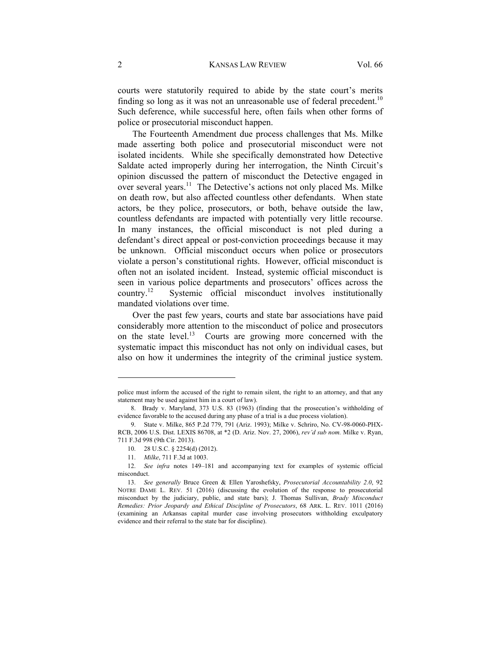courts were statutorily required to abide by the state court's merits finding so long as it was not an unreasonable use of federal precedent.<sup>10</sup> Such deference, while successful here, often fails when other forms of police or prosecutorial misconduct happen.

The Fourteenth Amendment due process challenges that Ms. Milke made asserting both police and prosecutorial misconduct were not isolated incidents. While she specifically demonstrated how Detective Saldate acted improperly during her interrogation, the Ninth Circuit's opinion discussed the pattern of misconduct the Detective engaged in over several years.<sup>11</sup> The Detective's actions not only placed Ms. Milke on death row, but also affected countless other defendants. When state actors, be they police, prosecutors, or both, behave outside the law, countless defendants are impacted with potentially very little recourse. In many instances, the official misconduct is not pled during a defendant's direct appeal or post-conviction proceedings because it may be unknown. Official misconduct occurs when police or prosecutors violate a person's constitutional rights. However, official misconduct is often not an isolated incident. Instead, systemic official misconduct is seen in various police departments and prosecutors' offices across the country.12 Systemic official misconduct involves institutionally mandated violations over time.

Over the past few years, courts and state bar associations have paid considerably more attention to the misconduct of police and prosecutors on the state level.<sup>13</sup> Courts are growing more concerned with the systematic impact this misconduct has not only on individual cases, but also on how it undermines the integrity of the criminal justice system.

police must inform the accused of the right to remain silent, the right to an attorney, and that any statement may be used against him in a court of law).

 <sup>8.</sup> Brady v. Maryland, 373 U.S. 83 (1963) (finding that the prosecution's withholding of evidence favorable to the accused during any phase of a trial is a due process violation).

 <sup>9.</sup> State v. Milke, 865 P.2d 779, 791 (Ariz. 1993); Milke v. Schriro, No. CV-98-0060-PHX-RCB, 2006 U.S. Dist. LEXIS 86708, at \*2 (D. Ariz. Nov. 27, 2006), *rev'd sub nom.* Milke v. Ryan, 711 F.3d 998 (9th Cir. 2013).

 <sup>10. 28</sup> U.S.C. § 2254(d) (2012).

 <sup>11.</sup> *Milke*, 711 F.3d at 1003.

 <sup>12.</sup> *See infra* notes 149–181 and accompanying text for examples of systemic official misconduct.

 <sup>13.</sup> *See generally* Bruce Green & Ellen Yaroshefsky, *Prosecutorial Accountability 2.0*, 92 NOTRE DAME L. REV. 51 (2016) (discussing the evolution of the response to prosecutorial misconduct by the judiciary, public, and state bars); J. Thomas Sullivan, *Brady Misconduct Remedies: Prior Jeopardy and Ethical Discipline of Prosecutors*, 68 ARK. L. REV. 1011 (2016) (examining an Arkansas capital murder case involving prosecutors withholding exculpatory evidence and their referral to the state bar for discipline).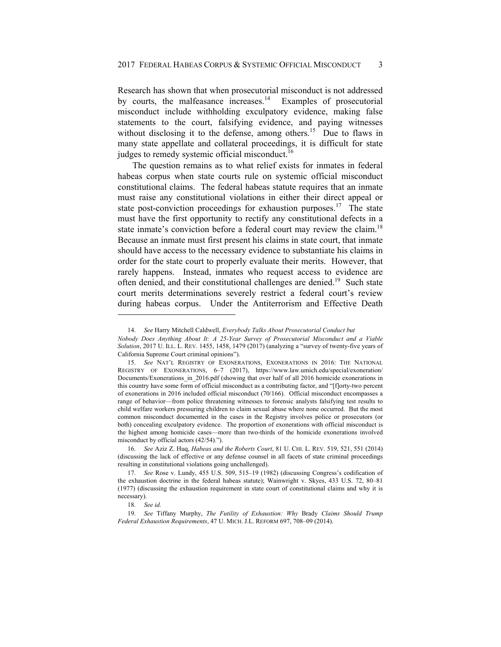Research has shown that when prosecutorial misconduct is not addressed by courts, the malfeasance increases. $14$  Examples of prosecutorial misconduct include withholding exculpatory evidence, making false statements to the court, falsifying evidence, and paying witnesses without disclosing it to the defense, among others.<sup>15</sup> Due to flaws in many state appellate and collateral proceedings, it is difficult for state judges to remedy systemic official misconduct.<sup>16</sup>

The question remains as to what relief exists for inmates in federal habeas corpus when state courts rule on systemic official misconduct constitutional claims. The federal habeas statute requires that an inmate must raise any constitutional violations in either their direct appeal or state post-conviction proceedings for exhaustion purposes.<sup>17</sup> The state must have the first opportunity to rectify any constitutional defects in a state inmate's conviction before a federal court may review the claim.<sup>18</sup> Because an inmate must first present his claims in state court, that inmate should have access to the necessary evidence to substantiate his claims in order for the state court to properly evaluate their merits. However, that rarely happens. Instead, inmates who request access to evidence are often denied, and their constitutional challenges are denied.19 Such state court merits determinations severely restrict a federal court's review during habeas corpus. Under the Antiterrorism and Effective Death

 <sup>14.</sup> *See* Harry Mitchell Caldwell, *Everybody Talks About Prosecutorial Conduct but*

*Nobody Does Anything About It: A 25-Year Survey of Prosecutorial Misconduct and a Viable Solution*, 2017 U. ILL. L. REV. 1455, 1458, 1479 (2017) (analyzing a "survey of twenty-five years of California Supreme Court criminal opinions").

 <sup>15.</sup> *See* NAT'L REGISTRY OF EXONERATIONS, EXONERATIONS IN 2016: THE NATIONAL REGISTRY OF EXONERATIONS, 6–7 (2017), https://www.law.umich.edu/special/exoneration/ Documents/Exonerations\_in\_2016.pdf (showing that over half of all 2016 homicide exonerations in this country have some form of official misconduct as a contributing factor, and "[f]orty-two percent of exonerations in 2016 included official misconduct (70/166). Official misconduct encompasses a range of behavior—from police threatening witnesses to forensic analysts falsifying test results to child welfare workers pressuring children to claim sexual abuse where none occurred. But the most common misconduct documented in the cases in the Registry involves police or prosecutors (or both) concealing exculpatory evidence. The proportion of exonerations with official misconduct is the highest among homicide cases—more than two-thirds of the homicide exonerations involved misconduct by official actors (42/54).").

 <sup>16.</sup> *See* Aziz Z. Huq, *Habeas and the Roberts Court*, 81 U. CHI. L. REV. 519, 521, 551 (2014) (discussing the lack of effective or any defense counsel in all facets of state criminal proceedings resulting in constitutional violations going unchallenged).

 <sup>17.</sup> *See* Rose v. Lundy, 455 U.S. 509, 515–19 (1982) (discussing Congress's codification of the exhaustion doctrine in the federal habeas statute); Wainwright v. Skyes, 433 U.S. 72, 80–81 (1977) (discussing the exhaustion requirement in state court of constitutional claims and why it is necessary).

 <sup>18.</sup> *See id.*

 <sup>19.</sup> *See* Tiffany Murphy, *The Futility of Exhaustion: Why* Brady *Claims Should Trump Federal Exhaustion Requirements*, 47 U. MICH. J.L. REFORM 697, 708–09 (2014).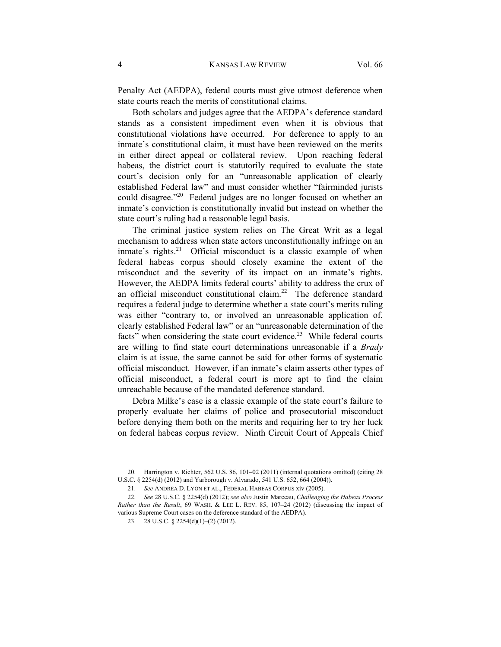Penalty Act (AEDPA), federal courts must give utmost deference when state courts reach the merits of constitutional claims.

Both scholars and judges agree that the AEDPA's deference standard stands as a consistent impediment even when it is obvious that constitutional violations have occurred. For deference to apply to an inmate's constitutional claim, it must have been reviewed on the merits in either direct appeal or collateral review. Upon reaching federal habeas, the district court is statutorily required to evaluate the state court's decision only for an "unreasonable application of clearly established Federal law" and must consider whether "fairminded jurists could disagree."<sup>20</sup> Federal judges are no longer focused on whether an inmate's conviction is constitutionally invalid but instead on whether the state court's ruling had a reasonable legal basis.

The criminal justice system relies on The Great Writ as a legal mechanism to address when state actors unconstitutionally infringe on an inmate's rights.<sup>21</sup> Official misconduct is a classic example of when federal habeas corpus should closely examine the extent of the misconduct and the severity of its impact on an inmate's rights. However, the AEDPA limits federal courts' ability to address the crux of an official misconduct constitutional claim.<sup>22</sup> The deference standard requires a federal judge to determine whether a state court's merits ruling was either "contrary to, or involved an unreasonable application of, clearly established Federal law" or an "unreasonable determination of the facts" when considering the state court evidence.<sup>23</sup> While federal courts are willing to find state court determinations unreasonable if a *Brady* claim is at issue, the same cannot be said for other forms of systematic official misconduct. However, if an inmate's claim asserts other types of official misconduct, a federal court is more apt to find the claim unreachable because of the mandated deference standard.

Debra Milke's case is a classic example of the state court's failure to properly evaluate her claims of police and prosecutorial misconduct before denying them both on the merits and requiring her to try her luck on federal habeas corpus review. Ninth Circuit Court of Appeals Chief

 <sup>20.</sup> Harrington v. Richter, 562 U.S. 86, 101–02 (2011) (internal quotations omitted) (citing 28 U.S.C. § 2254(d) (2012) and Yarborough v. Alvarado, 541 U.S. 652, 664 (2004)).

 <sup>21.</sup> *See* ANDREA D. LYON ET AL., FEDERAL HABEAS CORPUS xiv (2005).

 <sup>22.</sup> *See* 28 U.S.C. § 2254(d) (2012); *see also* Justin Marceau, *Challenging the Habeas Process Rather than the Result*, 69 WASH. & LEE L. REV. 85, 107–24 (2012) (discussing the impact of various Supreme Court cases on the deference standard of the AEDPA).

 <sup>23. 28</sup> U.S.C. § 2254(d)(1)–(2) (2012).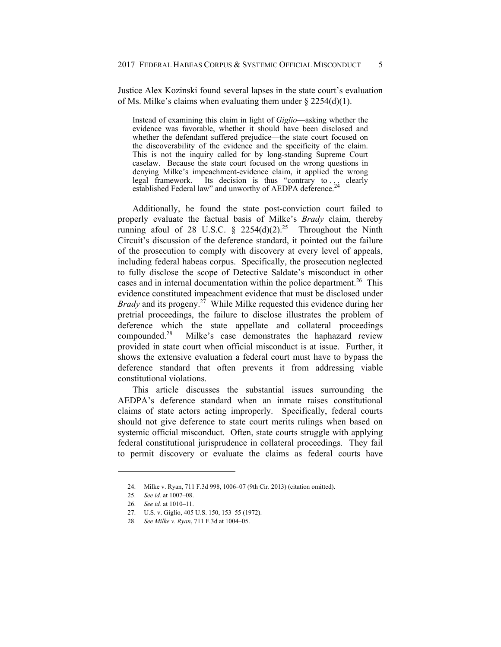Justice Alex Kozinski found several lapses in the state court's evaluation of Ms. Milke's claims when evaluating them under  $\S 2254(d)(1)$ .

Instead of examining this claim in light of *Giglio*—asking whether the evidence was favorable, whether it should have been disclosed and whether the defendant suffered prejudice—the state court focused on the discoverability of the evidence and the specificity of the claim. This is not the inquiry called for by long-standing Supreme Court caselaw. Because the state court focused on the wrong questions in denying Milke's impeachment-evidence claim, it applied the wrong legal framework. Its decision is thus "contrary to .  $\frac{1}{2}$  clearly established Federal law" and unworthy of AEDPA deference.

Additionally, he found the state post-conviction court failed to properly evaluate the factual basis of Milke's *Brady* claim, thereby running afoul of 28 U.S.C.  $\frac{8}{2254}$  2254(d)(2)<sup>25</sup> Throughout the Ninth Circuit's discussion of the deference standard, it pointed out the failure of the prosecution to comply with discovery at every level of appeals, including federal habeas corpus. Specifically, the prosecution neglected to fully disclose the scope of Detective Saldate's misconduct in other cases and in internal documentation within the police department.<sup>26</sup> This evidence constituted impeachment evidence that must be disclosed under *Brady* and its progeny.<sup>27</sup> While Milke requested this evidence during her pretrial proceedings, the failure to disclose illustrates the problem of deference which the state appellate and collateral proceedings compounded.28 Milke's case demonstrates the haphazard review provided in state court when official misconduct is at issue. Further, it shows the extensive evaluation a federal court must have to bypass the deference standard that often prevents it from addressing viable constitutional violations.

This article discusses the substantial issues surrounding the AEDPA's deference standard when an inmate raises constitutional claims of state actors acting improperly. Specifically, federal courts should not give deference to state court merits rulings when based on systemic official misconduct. Often, state courts struggle with applying federal constitutional jurisprudence in collateral proceedings. They fail to permit discovery or evaluate the claims as federal courts have

 <sup>24.</sup> Milke v. Ryan, 711 F.3d 998, 1006–07 (9th Cir. 2013) (citation omitted).

 <sup>25.</sup> *See id.* at 1007–08.

 <sup>26.</sup> *See id.* at 1010–11.

 <sup>27.</sup> U.S. v. Giglio, 405 U.S. 150, 153–55 (1972).

 <sup>28.</sup> *See Milke v. Ryan*, 711 F.3d at 1004–05.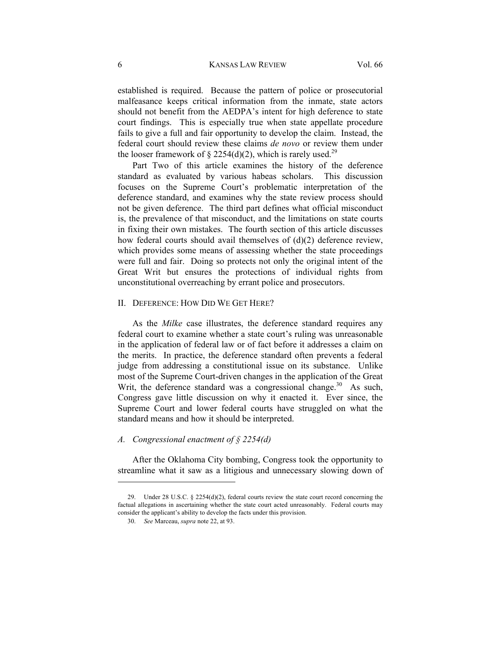#### 6 KANSAS LAW REVIEW Vol. 66

established is required. Because the pattern of police or prosecutorial malfeasance keeps critical information from the inmate, state actors should not benefit from the AEDPA's intent for high deference to state court findings. This is especially true when state appellate procedure fails to give a full and fair opportunity to develop the claim. Instead, the federal court should review these claims *de novo* or review them under the looser framework of § 2254(d)(2), which is rarely used.<sup>29</sup>

Part Two of this article examines the history of the deference standard as evaluated by various habeas scholars. This discussion focuses on the Supreme Court's problematic interpretation of the deference standard, and examines why the state review process should not be given deference. The third part defines what official misconduct is, the prevalence of that misconduct, and the limitations on state courts in fixing their own mistakes. The fourth section of this article discusses how federal courts should avail themselves of (d)(2) deference review, which provides some means of assessing whether the state proceedings were full and fair. Doing so protects not only the original intent of the Great Writ but ensures the protections of individual rights from unconstitutional overreaching by errant police and prosecutors.

### II. DEFERENCE: HOW DID WE GET HERE?

As the *Milke* case illustrates, the deference standard requires any federal court to examine whether a state court's ruling was unreasonable in the application of federal law or of fact before it addresses a claim on the merits. In practice, the deference standard often prevents a federal judge from addressing a constitutional issue on its substance. Unlike most of the Supreme Court-driven changes in the application of the Great Writ, the deference standard was a congressional change.<sup>30</sup> As such, Congress gave little discussion on why it enacted it. Ever since, the Supreme Court and lower federal courts have struggled on what the standard means and how it should be interpreted.

### *A. Congressional enactment of § 2254(d)*

After the Oklahoma City bombing, Congress took the opportunity to streamline what it saw as a litigious and unnecessary slowing down of

 <sup>29.</sup> Under 28 U.S.C. § 2254(d)(2), federal courts review the state court record concerning the factual allegations in ascertaining whether the state court acted unreasonably. Federal courts may consider the applicant's ability to develop the facts under this provision.

 <sup>30.</sup> *See* Marceau, *supra* note 22, at 93.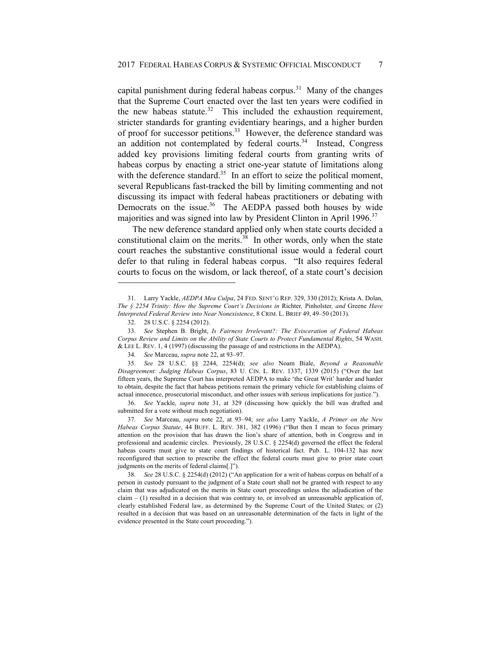capital punishment during federal habeas corpus.<sup>31</sup> Many of the changes that the Supreme Court enacted over the last ten years were codified in the new habeas statute. $32$  This included the exhaustion requirement, stricter standards for granting evidentiary hearings, and a higher burden of proof for successor petitions.<sup>33</sup> However, the deference standard was an addition not contemplated by federal courts.<sup>34</sup> Instead, Congress added key provisions limiting federal courts from granting writs of habeas corpus by enacting a strict one-year statute of limitations along with the deference standard.<sup>35</sup> In an effort to seize the political moment, several Republicans fast-tracked the bill by limiting commenting and not discussing its impact with federal habeas practitioners or debating with Democrats on the issue.<sup>36</sup> The AEDPA passed both houses by wide majorities and was signed into law by President Clinton in April 1996.<sup>37</sup>

The new deference standard applied only when state courts decided a constitutional claim on the merits. $38$  In other words, only when the state court reaches the substantive constitutional issue would a federal court defer to that ruling in federal habeas corpus. "It also requires federal courts to focus on the wisdom, or lack thereof, of a state court's decision

l

 36. *See* Yackle, *supra* note 31, at 329 (discussing how quickly the bill was drafted and submitted for a vote without much negotiation).

 37. *See* Marceau, *supra* note 22, at 93–94; *see also* Larry Yackle, *A Primer on the New Habeas Corpus Statute*, 44 BUFF. L. REV. 381, 382 (1996) ("But then I mean to focus primary attention on the provision that has drawn the lion's share of attention, both in Congress and in professional and academic circles. Previously, 28 U.S.C. § 2254(d) governed the effect the federal habeas courts must give to state court findings of historical fact. Pub. L. 104-132 has now reconfigured that section to prescribe the effect the federal courts must give to prior state court judgments on the merits of federal claims[.]").

 <sup>31.</sup> Larry Yackle, *AEDPA Mea Culpa*, 24 FED. SENT'G REP. 329, 330 (2012); Krista A. Dolan, *The § 2254 Trinity: How the Supreme Court's Decisions in* Richter*,* Pinholster*, and* Greene *Have Interpreted Federal Review into Near Nonexistence*, 8 CRIM. L. BRIEF 49, 49–50 (2013).

 <sup>32. 28</sup> U.S.C. § 2254 (2012).

 <sup>33.</sup> *See* Stephen B. Bright, *Is Fairness Irrelevant?: The Evisceration of Federal Habeas Corpus Review and Limits on the Ability of State Courts to Protect Fundamental Rights*, 54 WASH. & LEE L. REV. 1, 4 (1997) (discussing the passage of and restrictions in the AEDPA).

 <sup>34.</sup> *See* Marceau, *supra* note 22, at 93–97.

 <sup>35.</sup> *See* 28 U.S.C. §§ 2244, 2254(d); *see also* Noam Biale, *Beyond a Reasonable Disagreement: Judging Habeas Corpus*, 83 U. CIN. L. REV. 1337, 1339 (2015) ("Over the last fifteen years, the Supreme Court has interpreted AEDPA to make 'the Great Writ' harder and harder to obtain, despite the fact that habeas petitions remain the primary vehicle for establishing claims of actual innocence, prosecutorial misconduct, and other issues with serious implications for justice.").

 <sup>38.</sup> *See* 28 U.S.C. § 2254(d) (2012) ("An application for a writ of habeas corpus on behalf of a person in custody pursuant to the judgment of a State court shall not be granted with respect to any claim that was adjudicated on the merits in State court proceedings unless the adjudication of the claim  $- (1)$  resulted in a decision that was contrary to, or involved an unreasonable application of, clearly established Federal law, as determined by the Supreme Court of the United States; or (2) resulted in a decision that was based on an unreasonable determination of the facts in light of the evidence presented in the State court proceeding.").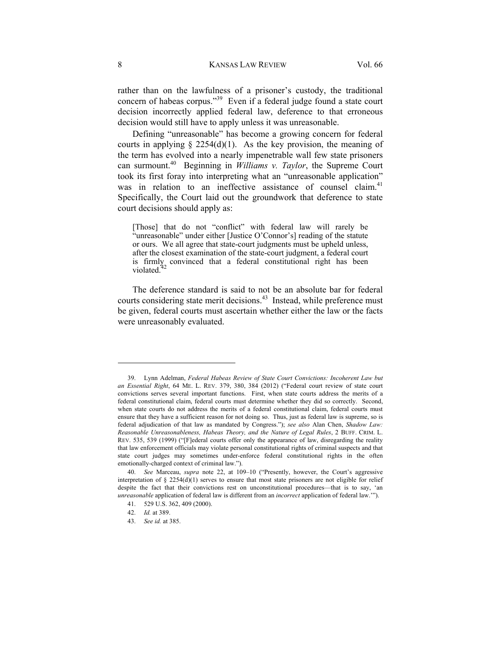rather than on the lawfulness of a prisoner's custody, the traditional concern of habeas corpus."39 Even if a federal judge found a state court decision incorrectly applied federal law, deference to that erroneous decision would still have to apply unless it was unreasonable.

Defining "unreasonable" has become a growing concern for federal courts in applying  $\S$  2254(d)(1). As the key provision, the meaning of the term has evolved into a nearly impenetrable wall few state prisoners can surmount.40 Beginning in *Williams v. Taylor*, the Supreme Court took its first foray into interpreting what an "unreasonable application" was in relation to an ineffective assistance of counsel claim.<sup>41</sup> Specifically, the Court laid out the groundwork that deference to state court decisions should apply as:

[Those] that do not "conflict" with federal law will rarely be "unreasonable" under either [Justice O'Connor's] reading of the statute or ours. We all agree that state-court judgments must be upheld unless, after the closest examination of the state-court judgment, a federal court is firmly convinced that a federal constitutional right has been violated.<sup>42</sup>

The deference standard is said to not be an absolute bar for federal courts considering state merit decisions.<sup>43</sup> Instead, while preference must be given, federal courts must ascertain whether either the law or the facts were unreasonably evaluated.

 <sup>39.</sup> Lynn Adelman, *Federal Habeas Review of State Court Convictions: Incoherent Law but an Essential Right*, 64 ME. L. REV. 379, 380, 384 (2012) ("Federal court review of state court convictions serves several important functions. First, when state courts address the merits of a federal constitutional claim, federal courts must determine whether they did so correctly. Second, when state courts do not address the merits of a federal constitutional claim, federal courts must ensure that they have a sufficient reason for not doing so. Thus, just as federal law is supreme, so is federal adjudication of that law as mandated by Congress."); *see also* Alan Chen, *Shadow Law: Reasonable Unreasonableness, Habeas Theory, and the Nature of Legal Rules*, 2 BUFF. CRIM. L. REV. 535, 539 (1999) ("[F]ederal courts offer only the appearance of law, disregarding the reality that law enforcement officials may violate personal constitutional rights of criminal suspects and that state court judges may sometimes under-enforce federal constitutional rights in the often emotionally-charged context of criminal law.").

 <sup>40.</sup> *See* Marceau, *supra* note 22, at 109–10 ("Presently, however, the Court's aggressive interpretation of  $\S 2254(d)(1)$  serves to ensure that most state prisoners are not eligible for relief despite the fact that their convictions rest on unconstitutional procedures—that is to say, 'an *unreasonable* application of federal law is different from an *incorrect* application of federal law.

 <sup>41. 529</sup> U.S. 362, 409 (2000).

 <sup>42.</sup> *Id.* at 389.

 <sup>43.</sup> *See id.* at 385.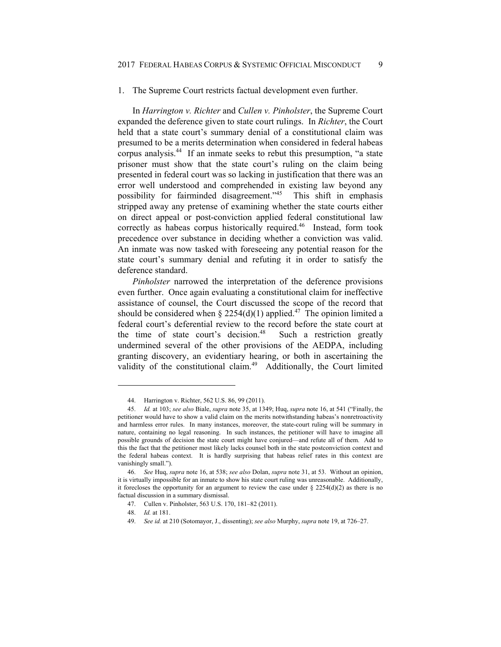### 1. The Supreme Court restricts factual development even further.

In *Harrington v. Richter* and *Cullen v. Pinholster*, the Supreme Court expanded the deference given to state court rulings. In *Richter*, the Court held that a state court's summary denial of a constitutional claim was presumed to be a merits determination when considered in federal habeas corpus analysis.44 If an inmate seeks to rebut this presumption, "a state prisoner must show that the state court's ruling on the claim being presented in federal court was so lacking in justification that there was an error well understood and comprehended in existing law beyond any possibility for fairminded disagreement."45 This shift in emphasis stripped away any pretense of examining whether the state courts either on direct appeal or post-conviction applied federal constitutional law correctly as habeas corpus historically required.<sup>46</sup> Instead, form took precedence over substance in deciding whether a conviction was valid. An inmate was now tasked with foreseeing any potential reason for the state court's summary denial and refuting it in order to satisfy the deference standard.

*Pinholster* narrowed the interpretation of the deference provisions even further. Once again evaluating a constitutional claim for ineffective assistance of counsel, the Court discussed the scope of the record that should be considered when § 2254(d)(1) applied.<sup>47</sup> The opinion limited a federal court's deferential review to the record before the state court at the time of state court's decision.<sup>48</sup> Such a restriction greatly undermined several of the other provisions of the AEDPA, including granting discovery, an evidentiary hearing, or both in ascertaining the validity of the constitutional claim.<sup>49</sup> Additionally, the Court limited

 <sup>44.</sup> Harrington v. Richter, 562 U.S. 86, 99 (2011).

 <sup>45.</sup> *Id.* at 103; *see also* Biale, *supra* note 35, at 1349; Huq, *supra* note 16, at 541 ("Finally, the petitioner would have to show a valid claim on the merits notwithstanding habeas's nonretroactivity and harmless error rules. In many instances, moreover, the state-court ruling will be summary in nature, containing no legal reasoning. In such instances, the petitioner will have to imagine all possible grounds of decision the state court might have conjured—and refute all of them. Add to this the fact that the petitioner most likely lacks counsel both in the state postconviction context and the federal habeas context. It is hardly surprising that habeas relief rates in this context are vanishingly small.").

 <sup>46.</sup> *See* Huq, *supra* note 16, at 538; *see also* Dolan, *supra* note 31, at 53. Without an opinion, it is virtually impossible for an inmate to show his state court ruling was unreasonable. Additionally, it forecloses the opportunity for an argument to review the case under  $\S 2254(d)(2)$  as there is no factual discussion in a summary dismissal.

 <sup>47.</sup> Cullen v. Pinholster, 563 U.S. 170, 181–82 (2011).

 <sup>48.</sup> *Id.* at 181.

 <sup>49.</sup> *See id.* at 210 (Sotomayor, J., dissenting); *see also* Murphy, *supra* note 19, at 726–27.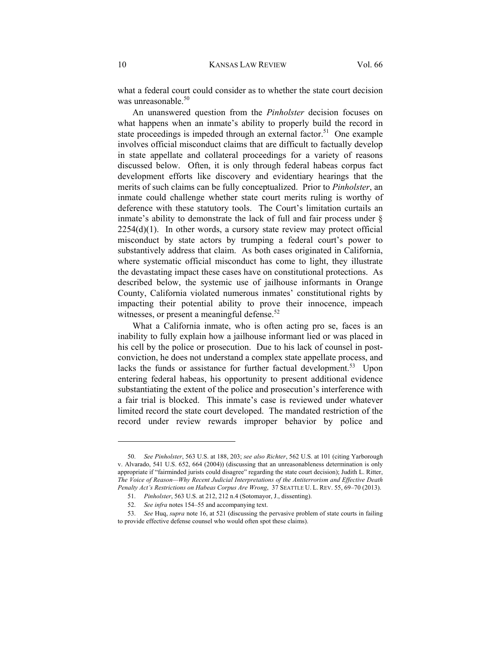what a federal court could consider as to whether the state court decision was unreasonable.<sup>50</sup>

An unanswered question from the *Pinholster* decision focuses on what happens when an inmate's ability to properly build the record in state proceedings is impeded through an external factor.<sup>51</sup> One example involves official misconduct claims that are difficult to factually develop in state appellate and collateral proceedings for a variety of reasons discussed below. Often, it is only through federal habeas corpus fact development efforts like discovery and evidentiary hearings that the merits of such claims can be fully conceptualized. Prior to *Pinholster*, an inmate could challenge whether state court merits ruling is worthy of deference with these statutory tools. The Court's limitation curtails an inmate's ability to demonstrate the lack of full and fair process under  $\S$  $2254(d)(1)$ . In other words, a cursory state review may protect official misconduct by state actors by trumping a federal court's power to substantively address that claim. As both cases originated in California, where systematic official misconduct has come to light, they illustrate the devastating impact these cases have on constitutional protections. As described below, the systemic use of jailhouse informants in Orange County, California violated numerous inmates' constitutional rights by impacting their potential ability to prove their innocence, impeach witnesses, or present a meaningful defense.<sup>52</sup>

What a California inmate, who is often acting pro se, faces is an inability to fully explain how a jailhouse informant lied or was placed in his cell by the police or prosecution. Due to his lack of counsel in postconviction, he does not understand a complex state appellate process, and lacks the funds or assistance for further factual development.<sup>53</sup> Upon entering federal habeas, his opportunity to present additional evidence substantiating the extent of the police and prosecution's interference with a fair trial is blocked. This inmate's case is reviewed under whatever limited record the state court developed. The mandated restriction of the record under review rewards improper behavior by police and

 <sup>50.</sup> *See Pinholster*, 563 U.S. at 188, 203; *see also Richter*, 562 U.S. at 101 (citing Yarborough v. Alvarado, 541 U.S. 652, 664 (2004)) (discussing that an unreasonableness determination is only appropriate if "fairminded jurists could disagree" regarding the state court decision); Judith L. Ritter, *The Voice of Reason—Why Recent Judicial Interpretations of the Antiterrorism and Effective Death Penalty Act's Restrictions on Habeas Corpus Are Wrong*, 37 SEATTLE U. L. REV. 55, 69–70 (2013).

 <sup>51.</sup> *Pinholster*, 563 U.S. at 212, 212 n.4 (Sotomayor, J., dissenting).

 <sup>52.</sup> *See infra* notes 154–55 and accompanying text.

 <sup>53.</sup> *See* Huq, *supra* note 16, at 521 (discussing the pervasive problem of state courts in failing to provide effective defense counsel who would often spot these claims).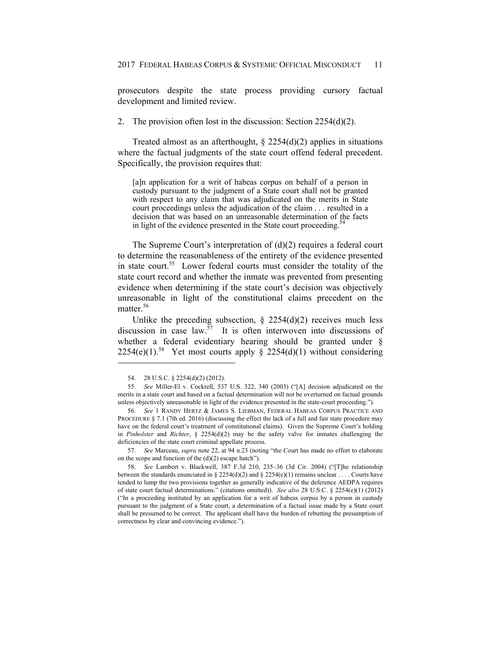prosecutors despite the state process providing cursory factual development and limited review.

2. The provision often lost in the discussion: Section 2254(d)(2).

Treated almost as an afterthought,  $\S 2254(d)(2)$  applies in situations where the factual judgments of the state court offend federal precedent. Specifically, the provision requires that:

[a]n application for a writ of habeas corpus on behalf of a person in custody pursuant to the judgment of a State court shall not be granted with respect to any claim that was adjudicated on the merits in State court proceedings unless the adjudication of the claim . . . resulted in a decision that was based on an unreasonable determination of the facts in light of the evidence presented in the State court proceeding.<sup>5</sup>

The Supreme Court's interpretation of  $(d)(2)$  requires a federal court to determine the reasonableness of the entirety of the evidence presented in state court.<sup>55</sup> Lower federal courts must consider the totality of the state court record and whether the inmate was prevented from presenting evidence when determining if the state court's decision was objectively unreasonable in light of the constitutional claims precedent on the matter.<sup>56</sup>

Unlike the preceding subsection,  $\S$  2254(d)(2) receives much less discussion in case  $law<sup>57</sup>$  It is often interwoven into discussions of whether a federal evidentiary hearing should be granted under § 2254(e)(1).<sup>58</sup> Yet most courts apply § 2254(d)(1) without considering

 $\overline{a}$ 

 57. *See* Marceau, *supra* note 22, at 94 n.23 (noting "the Court has made no effort to elaborate on the scope and function of the (d)(2) escape hatch").

 <sup>54. 28</sup> U.S.C. § 2254(d)(2) (2012).

 <sup>55.</sup> *See* Miller-El v. Cockrell, 537 U.S. 322, 340 (2003) ("[A] decision adjudicated on the merits in a state court and based on a factual determination will not be overturned on factual grounds unless objectively unreasonable in light of the evidence presented in the state-court proceeding.").

 <sup>56.</sup> *See* 1 RANDY HERTZ & JAMES S. LIEBMAN, FEDERAL HABEAS CORPUS PRACTICE AND PROCEDURE § 7.1 (7th ed. 2016) (discussing the effect the lack of a full and fair state procedure may have on the federal court's treatment of constitutional claims). Given the Supreme Court's holding in *Pinholster* and *Richter*, § 2254(d)(2) may be the safety valve for inmates challenging the deficiencies of the state court criminal appellate process.

 <sup>58.</sup> *See* Lambert v. Blackwell, 387 F.3d 210, 235–36 (3d Cir. 2004) ("[T]he relationship between the standards enunciated in § 2254(d)(2) and § 2254(e)(1) remains unclear . . . . Courts have tended to lump the two provisions together as generally indicative of the deference AEDPA requires of state court factual determinations." (citations omitted)). *See also* 28 U.S.C. § 2254(e)(1) (2012) ("In a proceeding instituted by an application for a writ of habeas corpus by a person in custody pursuant to the judgment of a State court, a determination of a factual issue made by a State court shall be presumed to be correct. The applicant shall have the burden of rebutting the presumption of correctness by clear and convincing evidence.").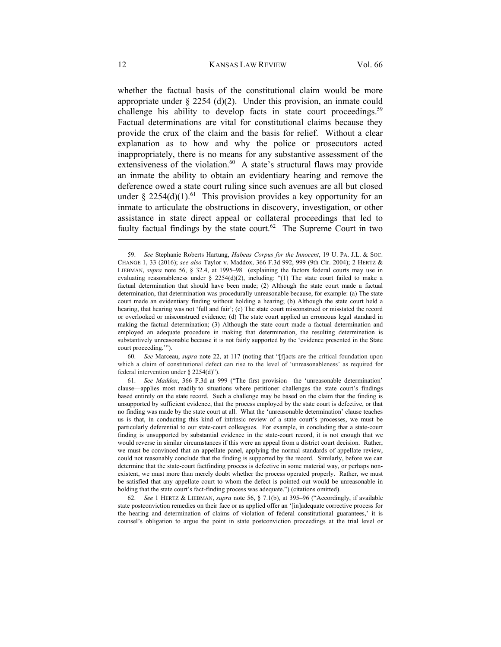whether the factual basis of the constitutional claim would be more appropriate under  $\S 2254$  (d)(2). Under this provision, an inmate could challenge his ability to develop facts in state court proceedings.<sup>59</sup> Factual determinations are vital for constitutional claims because they provide the crux of the claim and the basis for relief. Without a clear explanation as to how and why the police or prosecutors acted inappropriately, there is no means for any substantive assessment of the extensiveness of the violation. $60$  A state's structural flaws may provide an inmate the ability to obtain an evidentiary hearing and remove the deference owed a state court ruling since such avenues are all but closed under § 2254(d)(1).<sup>61</sup> This provision provides a key opportunity for an inmate to articulate the obstructions in discovery, investigation, or other assistance in state direct appeal or collateral proceedings that led to faulty factual findings by the state court.<sup>62</sup> The Supreme Court in two

 <sup>59.</sup> *See* Stephanie Roberts Hartung, *Habeas Corpus for the Innocent*, 19 U. PA. J.L. & SOC. CHANGE 1, 33 (2016); *see also* Taylor v. Maddox, 366 F.3d 992, 999 (9th Cir. 2004); 2 HERTZ & LIEBMAN, *supra* note 56, § 32.4, at 1995–98 (explaining the factors federal courts may use in evaluating reasonableness under  $\S$  2254(d)(2), including: "(1) The state court failed to make a factual determination that should have been made; (2) Although the state court made a factual determination, that determination was procedurally unreasonable because, for example: (a) The state court made an evidentiary finding without holding a hearing; (b) Although the state court held a hearing, that hearing was not 'full and fair'; (c) The state court misconstrued or misstated the record or overlooked or misconstrued evidence; (d) The state court applied an erroneous legal standard in making the factual determination; (3) Although the state court made a factual determination and employed an adequate procedure in making that determination, the resulting determination is substantively unreasonable because it is not fairly supported by the 'evidence presented in the State court proceeding.'").

 <sup>60.</sup> *See* Marceau, *supra* note 22, at 117 (noting that "[f]acts are the critical foundation upon which a claim of constitutional defect can rise to the level of 'unreasonableness' as required for federal intervention under § 2254(d)").

 <sup>61.</sup> *See Maddox*, 366 F.3d at 999 ("The first provision—the 'unreasonable determination' clause—applies most readily to situations where petitioner challenges the state court's findings based entirely on the state record. Such a challenge may be based on the claim that the finding is unsupported by sufficient evidence, that the process employed by the state court is defective, or that no finding was made by the state court at all. What the 'unreasonable determination' clause teaches us is that, in conducting this kind of intrinsic review of a state court's processes, we must be particularly deferential to our state-court colleagues. For example, in concluding that a state-court finding is unsupported by substantial evidence in the state-court record, it is not enough that we would reverse in similar circumstances if this were an appeal from a district court decision. Rather, we must be convinced that an appellate panel, applying the normal standards of appellate review, could not reasonably conclude that the finding is supported by the record. Similarly, before we can determine that the state-court factfinding process is defective in some material way, or perhaps nonexistent, we must more than merely doubt whether the process operated properly. Rather, we must be satisfied that any appellate court to whom the defect is pointed out would be unreasonable in holding that the state court's fact-finding process was adequate.") (citations omitted).

 <sup>62.</sup> *See* 1 HERTZ & LIEBMAN, *supra* note 56, § 7.1(b), at 395–96 ("Accordingly, if available state postconviction remedies on their face or as applied offer an '[in]adequate corrective process for the hearing and determination of claims of violation of federal constitutional guarantees,' it is counsel's obligation to argue the point in state postconviction proceedings at the trial level or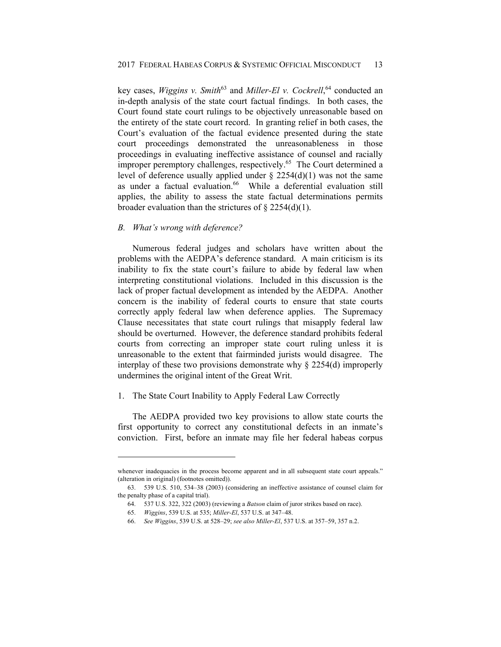key cases, *Wiggins v. Smith*<sup>63</sup> and *Miller-El v. Cockrell*,<sup>64</sup> conducted an in-depth analysis of the state court factual findings. In both cases, the Court found state court rulings to be objectively unreasonable based on the entirety of the state court record. In granting relief in both cases, the Court's evaluation of the factual evidence presented during the state court proceedings demonstrated the unreasonableness in those proceedings in evaluating ineffective assistance of counsel and racially improper peremptory challenges, respectively.<sup>65</sup> The Court determined a level of deference usually applied under  $\S$  2254(d)(1) was not the same as under a factual evaluation.<sup>66</sup> While a deferential evaluation still applies, the ability to assess the state factual determinations permits broader evaluation than the strictures of  $\S 2254(d)(1)$ .

# *B. What's wrong with deference?*

Numerous federal judges and scholars have written about the problems with the AEDPA's deference standard. A main criticism is its inability to fix the state court's failure to abide by federal law when interpreting constitutional violations. Included in this discussion is the lack of proper factual development as intended by the AEDPA. Another concern is the inability of federal courts to ensure that state courts correctly apply federal law when deference applies. The Supremacy Clause necessitates that state court rulings that misapply federal law should be overturned. However, the deference standard prohibits federal courts from correcting an improper state court ruling unless it is unreasonable to the extent that fairminded jurists would disagree. The interplay of these two provisions demonstrate why § 2254(d) improperly undermines the original intent of the Great Writ.

# 1. The State Court Inability to Apply Federal Law Correctly

The AEDPA provided two key provisions to allow state courts the first opportunity to correct any constitutional defects in an inmate's conviction. First, before an inmate may file her federal habeas corpus

whenever inadequacies in the process become apparent and in all subsequent state court appeals." (alteration in original) (footnotes omitted)).

 <sup>63. 539</sup> U.S. 510, 534–38 (2003) (considering an ineffective assistance of counsel claim for the penalty phase of a capital trial).

 <sup>64. 537</sup> U.S. 322, 322 (2003) (reviewing a *Batson* claim of juror strikes based on race).

 <sup>65.</sup> *Wiggins*, 539 U.S. at 535; *Miller-El*, 537 U.S. at 347–48.

 <sup>66.</sup> *See Wiggins*, 539 U.S. at 528–29; *see also Miller-El*, 537 U.S. at 357–59, 357 n.2.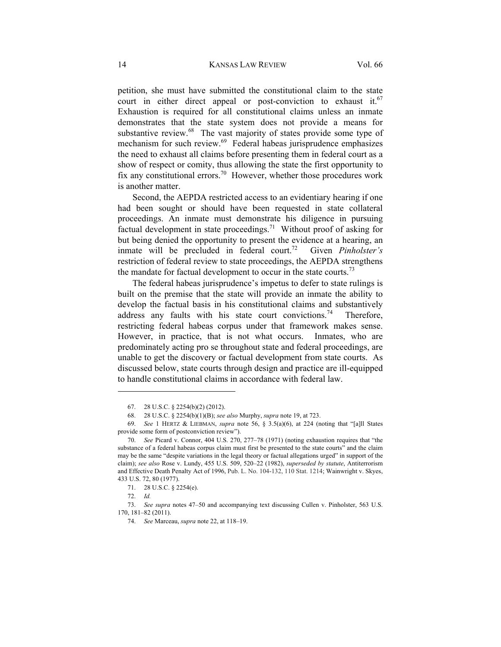petition, she must have submitted the constitutional claim to the state court in either direct appeal or post-conviction to exhaust it.<sup>67</sup> Exhaustion is required for all constitutional claims unless an inmate demonstrates that the state system does not provide a means for substantive review.<sup>68</sup> The vast majority of states provide some type of mechanism for such review.<sup>69</sup> Federal habeas jurisprudence emphasizes the need to exhaust all claims before presenting them in federal court as a show of respect or comity, thus allowing the state the first opportunity to fix any constitutional errors.<sup>70</sup> However, whether those procedures work is another matter.

Second, the AEPDA restricted access to an evidentiary hearing if one had been sought or should have been requested in state collateral proceedings. An inmate must demonstrate his diligence in pursuing factual development in state proceedings.<sup>71</sup> Without proof of asking for but being denied the opportunity to present the evidence at a hearing, an inmate will be precluded in federal court.<sup>72</sup> Given *Pinholster's* restriction of federal review to state proceedings, the AEPDA strengthens the mandate for factual development to occur in the state courts.<sup>73</sup>

The federal habeas jurisprudence's impetus to defer to state rulings is built on the premise that the state will provide an inmate the ability to develop the factual basis in his constitutional claims and substantively address any faults with his state court convictions.<sup>74</sup> Therefore, restricting federal habeas corpus under that framework makes sense. However, in practice, that is not what occurs. Inmates, who are predominately acting pro se throughout state and federal proceedings, are unable to get the discovery or factual development from state courts. As discussed below, state courts through design and practice are ill-equipped to handle constitutional claims in accordance with federal law.

 <sup>67. 28</sup> U.S.C. § 2254(b)(2) (2012).

 <sup>68. 28</sup> U.S.C. § 2254(b)(1)(B); *see also* Murphy, *supra* note 19, at 723.

 <sup>69.</sup> *See* 1 HERTZ & LIEBMAN, *supra* note 56, § 3.5(a)(6), at 224 (noting that "[a]ll States provide some form of postconviction review").

 <sup>70.</sup> *See* Picard v. Connor, 404 U.S. 270, 277–78 (1971) (noting exhaustion requires that "the substance of a federal habeas corpus claim must first be presented to the state courts" and the claim may be the same "despite variations in the legal theory or factual allegations urged" in support of the claim); *see also* Rose v. Lundy, 455 U.S. 509, 520–22 (1982), *superseded by statute*, Antiterrorism and Effective Death Penalty Act of 1996, Pub. L. No. 104-132, 110 Stat. 1214; Wainwright v. Skyes, 433 U.S. 72, 80 (1977).

 <sup>71. 28</sup> U.S.C. § 2254(e).

 <sup>72.</sup> *Id.*

 <sup>73.</sup> *See supra* notes 47–50 and accompanying text discussing Cullen v. Pinholster, 563 U.S. 170, 181–82 (2011).

 <sup>74.</sup> *See* Marceau, *supra* note 22, at 118–19.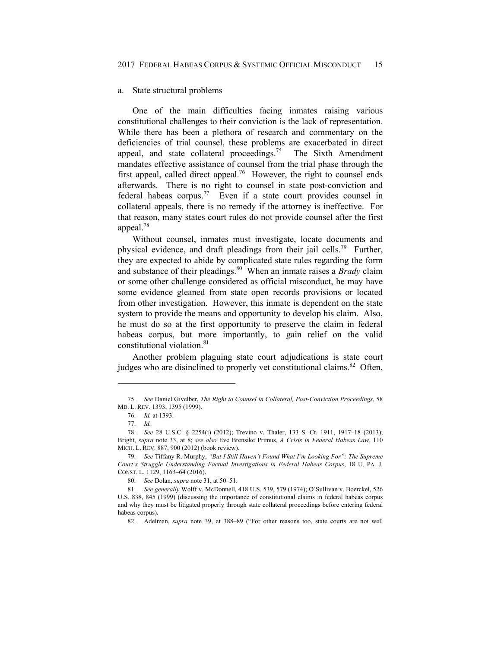### a. State structural problems

One of the main difficulties facing inmates raising various constitutional challenges to their conviction is the lack of representation. While there has been a plethora of research and commentary on the deficiencies of trial counsel, these problems are exacerbated in direct appeal, and state collateral proceedings.<sup>75</sup> The Sixth Amendment mandates effective assistance of counsel from the trial phase through the first appeal, called direct appeal.<sup>76</sup> However, the right to counsel ends afterwards. There is no right to counsel in state post-conviction and federal habeas corpus.<sup>77</sup> Even if a state court provides counsel in collateral appeals, there is no remedy if the attorney is ineffective. For that reason, many states court rules do not provide counsel after the first appeal.<sup>78</sup>

Without counsel, inmates must investigate, locate documents and physical evidence, and draft pleadings from their jail cells.<sup>79</sup> Further, they are expected to abide by complicated state rules regarding the form and substance of their pleadings.80 When an inmate raises a *Brady* claim or some other challenge considered as official misconduct, he may have some evidence gleaned from state open records provisions or located from other investigation. However, this inmate is dependent on the state system to provide the means and opportunity to develop his claim. Also, he must do so at the first opportunity to preserve the claim in federal habeas corpus, but more importantly, to gain relief on the valid constitutional violation.81

Another problem plaguing state court adjudications is state court judges who are disinclined to properly vet constitutional claims.<sup>82</sup> Often,

 <sup>75.</sup> *See* Daniel Givelber, *The Right to Counsel in Collateral, Post-Conviction Proceedings*, 58 MD. L. REV. 1393, 1395 (1999).

 <sup>76.</sup> *Id.* at 1393.

 <sup>77.</sup> *Id.*

 <sup>78.</sup> *See* 28 U.S.C. § 2254(i) (2012); Trevino v. Thaler, 133 S. Ct. 1911, 1917–18 (2013); Bright, *supra* note 33, at 8; *see also* Eve Brensike Primus, *A Crisis in Federal Habeas Law*, 110 MICH. L. REV. 887, 900 (2012) (book review).

 <sup>79.</sup> *See* Tiffany R. Murphy, *"But I Still Haven't Found What I'm Looking For": The Supreme Court's Struggle Understanding Factual Investigations in Federal Habeas Corpus*, 18 U. PA. J. CONST. L. 1129, 1163–64 (2016).

 <sup>80.</sup> *See* Dolan, *supra* note 31, at 50–51.

 <sup>81.</sup> *See generally* Wolff v. McDonnell, 418 U.S. 539, 579 (1974); O'Sullivan v. Boerckel, 526 U.S. 838, 845 (1999) (discussing the importance of constitutional claims in federal habeas corpus and why they must be litigated properly through state collateral proceedings before entering federal habeas corpus).

 <sup>82.</sup> Adelman, *supra* note 39, at 388–89 ("For other reasons too, state courts are not well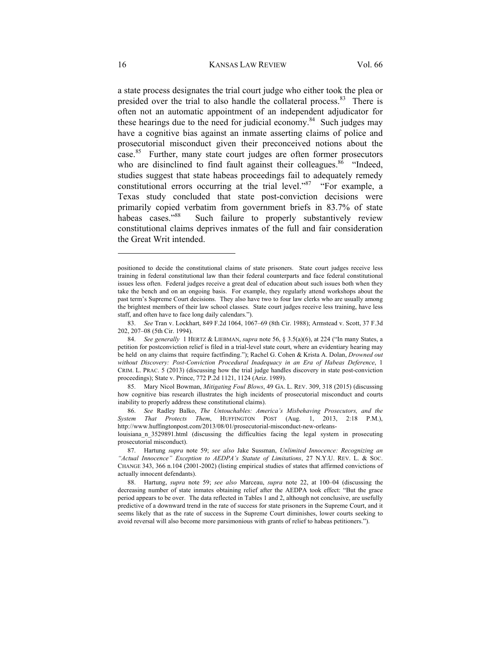a state process designates the trial court judge who either took the plea or presided over the trial to also handle the collateral process.  $83$  There is often not an automatic appointment of an independent adjudicator for these hearings due to the need for judicial economy. $84$  Such judges may have a cognitive bias against an inmate asserting claims of police and prosecutorial misconduct given their preconceived notions about the case.85 Further, many state court judges are often former prosecutors who are disinclined to find fault against their colleagues.<sup>86</sup> "Indeed, studies suggest that state habeas proceedings fail to adequately remedy constitutional errors occurring at the trial level."<sup>87</sup> "For example, a Texas study concluded that state post-conviction decisions were primarily copied verbatim from government briefs in 83.7% of state habeas cases."<sup>88</sup> Such failure to properly substantively review constitutional claims deprives inmates of the full and fair consideration the Great Writ intended.

positioned to decide the constitutional claims of state prisoners. State court judges receive less training in federal constitutional law than their federal counterparts and face federal constitutional issues less often. Federal judges receive a great deal of education about such issues both when they take the bench and on an ongoing basis. For example, they regularly attend workshops about the past term's Supreme Court decisions. They also have two to four law clerks who are usually among the brightest members of their law school classes. State court judges receive less training, have less staff, and often have to face long daily calendars.").

 <sup>83.</sup> *See* Tran v. Lockhart, 849 F.2d 1064, 1067–69 (8th Cir. 1988); Armstead v. Scott, 37 F.3d 202, 207–08 (5th Cir. 1994).

 <sup>84.</sup> *See generally* 1 HERTZ & LIEBMAN, *supra* note 56, § 3.5(a)(6), at 224 ("In many States, a petition for postconviction relief is filed in a trial-level state court, where an evidentiary hearing may be held on any claims that require factfinding."); Rachel G. Cohen & Krista A. Dolan, *Drowned out without Discovery: Post-Conviction Procedural Inadequacy in an Era of Habeas Deference*, 1 CRIM. L. PRAC. 5 (2013) (discussing how the trial judge handles discovery in state post-conviction proceedings); State v. Prince, 772 P.2d 1121, 1124 (Ariz. 1989).

 <sup>85.</sup> Mary Nicol Bowman, *Mitigating Foul Blows*, 49 GA. L. REV. 309, 318 (2015) (discussing how cognitive bias research illustrates the high incidents of prosecutorial misconduct and courts inability to properly address these constitutional claims).

 <sup>86.</sup> *See* Radley Balko, *The Untouchables: America's Misbehaving Prosecutors, and the System That Protects Them*, HUFFINGTON POST (Aug. 1, 2013, 2:18 P.M.), http://www.huffingtonpost.com/2013/08/01/prosecutorial-misconduct-new-orleanslouisiana\_n\_3529891.html (discussing the difficulties facing the legal system in prosecuting

prosecutorial misconduct). 87. Hartung *supra* note 59; *see also* Jake Sussman, *Unlimited Innocence: Recognizing an* 

*<sup>&</sup>quot;Actual Innocence" Exception to AEDPA's Statute of Limitations*, 27 N.Y.U. REV. L. & SOC. CHANGE 343, 366 n.104 (2001-2002) (listing empirical studies of states that affirmed convictions of actually innocent defendants).

 <sup>88.</sup> Hartung, *supra* note 59; *see also* Marceau, *supra* note 22, at 100–04 (discussing the decreasing number of state inmates obtaining relief after the AEDPA took effect: "But the grace period appears to be over. The data reflected in Tables 1 and 2, although not conclusive, are usefully predictive of a downward trend in the rate of success for state prisoners in the Supreme Court, and it seems likely that as the rate of success in the Supreme Court diminishes, lower courts seeking to avoid reversal will also become more parsimonious with grants of relief to habeas petitioners.").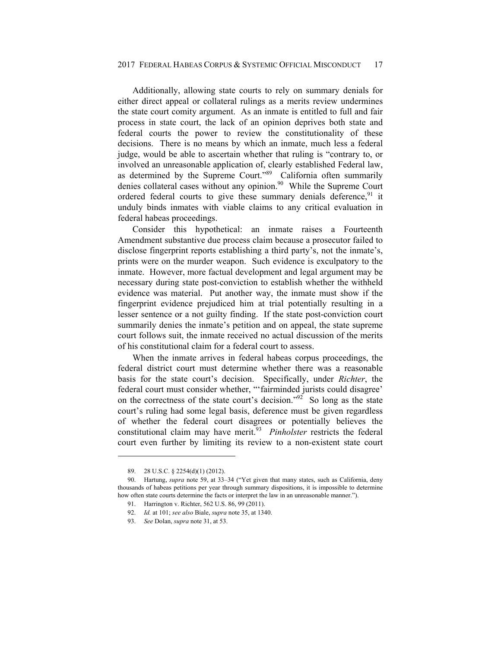Additionally, allowing state courts to rely on summary denials for either direct appeal or collateral rulings as a merits review undermines the state court comity argument. As an inmate is entitled to full and fair process in state court, the lack of an opinion deprives both state and federal courts the power to review the constitutionality of these decisions. There is no means by which an inmate, much less a federal judge, would be able to ascertain whether that ruling is "contrary to, or involved an unreasonable application of, clearly established Federal law, as determined by the Supreme Court."89 California often summarily denies collateral cases without any opinion.<sup>90</sup> While the Supreme Court ordered federal courts to give these summary denials deference,<sup>91</sup> it unduly binds inmates with viable claims to any critical evaluation in federal habeas proceedings.

Consider this hypothetical: an inmate raises a Fourteenth Amendment substantive due process claim because a prosecutor failed to disclose fingerprint reports establishing a third party's, not the inmate's, prints were on the murder weapon. Such evidence is exculpatory to the inmate. However, more factual development and legal argument may be necessary during state post-conviction to establish whether the withheld evidence was material. Put another way, the inmate must show if the fingerprint evidence prejudiced him at trial potentially resulting in a lesser sentence or a not guilty finding. If the state post-conviction court summarily denies the inmate's petition and on appeal, the state supreme court follows suit, the inmate received no actual discussion of the merits of his constitutional claim for a federal court to assess.

When the inmate arrives in federal habeas corpus proceedings, the federal district court must determine whether there was a reasonable basis for the state court's decision. Specifically, under *Richter*, the federal court must consider whether, "'fairminded jurists could disagree' on the correctness of the state court's decision."92 So long as the state court's ruling had some legal basis, deference must be given regardless of whether the federal court disagrees or potentially believes the constitutional claim may have merit.<sup>93</sup> *Pinholster* restricts the federal court even further by limiting its review to a non-existent state court

 <sup>89. 28</sup> U.S.C. § 2254(d)(1) (2012).

 <sup>90.</sup> Hartung, *supra* note 59, at 33–34 ("Yet given that many states, such as California, deny thousands of habeas petitions per year through summary dispositions, it is impossible to determine how often state courts determine the facts or interpret the law in an unreasonable manner.").

 <sup>91.</sup> Harrington v. Richter, 562 U.S. 86, 99 (2011).

 <sup>92.</sup> *Id.* at 101; *see also* Biale, *supra* note 35, at 1340.

 <sup>93.</sup> *See* Dolan, *supra* note 31, at 53.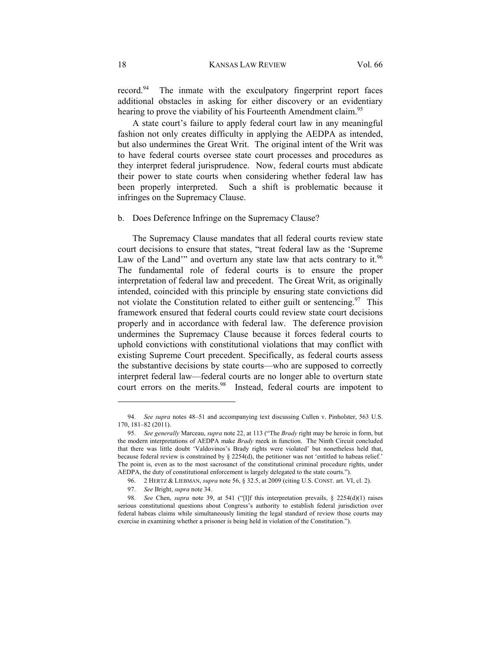record.<sup>94</sup> The inmate with the exculpatory fingerprint report faces additional obstacles in asking for either discovery or an evidentiary hearing to prove the viability of his Fourteenth Amendment claim.<sup>95</sup>

A state court's failure to apply federal court law in any meaningful fashion not only creates difficulty in applying the AEDPA as intended, but also undermines the Great Writ. The original intent of the Writ was to have federal courts oversee state court processes and procedures as they interpret federal jurisprudence. Now, federal courts must abdicate their power to state courts when considering whether federal law has been properly interpreted. Such a shift is problematic because it infringes on the Supremacy Clause.

# b. Does Deference Infringe on the Supremacy Clause?

The Supremacy Clause mandates that all federal courts review state court decisions to ensure that states, "treat federal law as the 'Supreme Law of the Land<sup>\*\*</sup> and overturn any state law that acts contrary to it.<sup>96</sup> The fundamental role of federal courts is to ensure the proper interpretation of federal law and precedent. The Great Writ, as originally intended, coincided with this principle by ensuring state convictions did not violate the Constitution related to either guilt or sentencing.<sup>97</sup> This framework ensured that federal courts could review state court decisions properly and in accordance with federal law. The deference provision undermines the Supremacy Clause because it forces federal courts to uphold convictions with constitutional violations that may conflict with existing Supreme Court precedent. Specifically, as federal courts assess the substantive decisions by state courts—who are supposed to correctly interpret federal law—federal courts are no longer able to overturn state court errors on the merits.<sup>98</sup> Instead, federal courts are impotent to

 <sup>94.</sup> *See supra* notes 48–51 and accompanying text discussing Cullen v. Pinholster, 563 U.S. 170, 181–82 (2011).

 <sup>95.</sup> *See generally* Marceau, *supra* note 22, at 113 ("The *Brady* right may be heroic in form, but the modern interpretations of AEDPA make *Brady* meek in function. The Ninth Circuit concluded that there was little doubt 'Valdovinos's Brady rights were violated' but nonetheless held that, because federal review is constrained by § 2254(d), the petitioner was not 'entitled to habeas relief.' The point is, even as to the most sacrosanct of the constitutional criminal procedure rights, under AEDPA, the duty of constitutional enforcement is largely delegated to the state courts.").

 <sup>96. 2</sup> HERTZ & LIEBMAN, *supra* note 56, § 32.5, at 2009 (citing U.S. CONST. art. VI, cl. 2).

 <sup>97.</sup> *See* Bright, *supra* note 34.

 <sup>98.</sup> *See* Chen, *supra* note 39, at 541 ("[I]f this interpretation prevails, § 2254(d)(1) raises serious constitutional questions about Congress's authority to establish federal jurisdiction over federal habeas claims while simultaneously limiting the legal standard of review those courts may exercise in examining whether a prisoner is being held in violation of the Constitution.").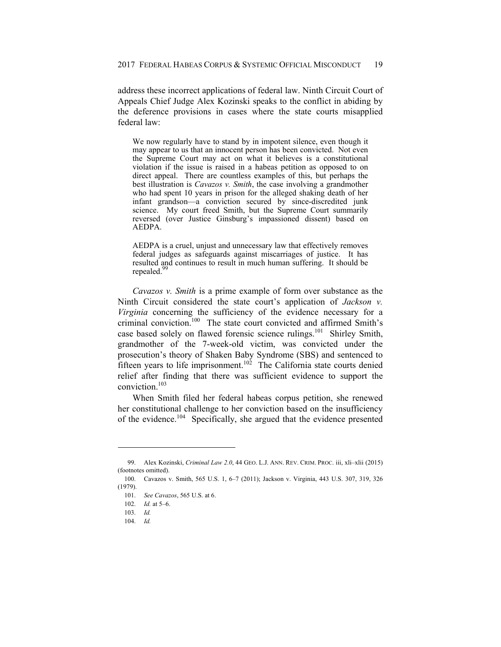address these incorrect applications of federal law. Ninth Circuit Court of Appeals Chief Judge Alex Kozinski speaks to the conflict in abiding by the deference provisions in cases where the state courts misapplied federal law:

We now regularly have to stand by in impotent silence, even though it may appear to us that an innocent person has been convicted. Not even the Supreme Court may act on what it believes is a constitutional violation if the issue is raised in a habeas petition as opposed to on direct appeal. There are countless examples of this, but perhaps the best illustration is *Cavazos v. Smith*, the case involving a grandmother who had spent 10 years in prison for the alleged shaking death of her infant grandson—a conviction secured by since-discredited junk science. My court freed Smith, but the Supreme Court summarily reversed (over Justice Ginsburg's impassioned dissent) based on AEDPA.

AEDPA is a cruel, unjust and unnecessary law that effectively removes federal judges as safeguards against miscarriages of justice. It has resulted and continues to result in much human suffering. It should be repealed.<sup>99</sup>

*Cavazos v. Smith* is a prime example of form over substance as the Ninth Circuit considered the state court's application of *Jackson v. Virginia* concerning the sufficiency of the evidence necessary for a criminal conviction.<sup>100</sup> The state court convicted and affirmed Smith's case based solely on flawed forensic science rulings.101 Shirley Smith, grandmother of the 7-week-old victim, was convicted under the prosecution's theory of Shaken Baby Syndrome (SBS) and sentenced to fifteen years to life imprisonment.<sup>102</sup> The California state courts denied relief after finding that there was sufficient evidence to support the conviction.103

When Smith filed her federal habeas corpus petition, she renewed her constitutional challenge to her conviction based on the insufficiency of the evidence.104 Specifically, she argued that the evidence presented

 <sup>99.</sup> Alex Kozinski, *Criminal Law 2.0*, 44 GEO. L.J. ANN. REV. CRIM. PROC. iii, xli–xlii (2015) (footnotes omitted).

 <sup>100.</sup> Cavazos v. Smith, 565 U.S. 1, 6–7 (2011); Jackson v. Virginia, 443 U.S. 307, 319, 326 (1979).

 <sup>101.</sup> *See Cavazos*, 565 U.S. at 6.

 <sup>102.</sup> *Id.* at 5–6.

 <sup>103.</sup> *Id.*

 <sup>104.</sup> *Id.*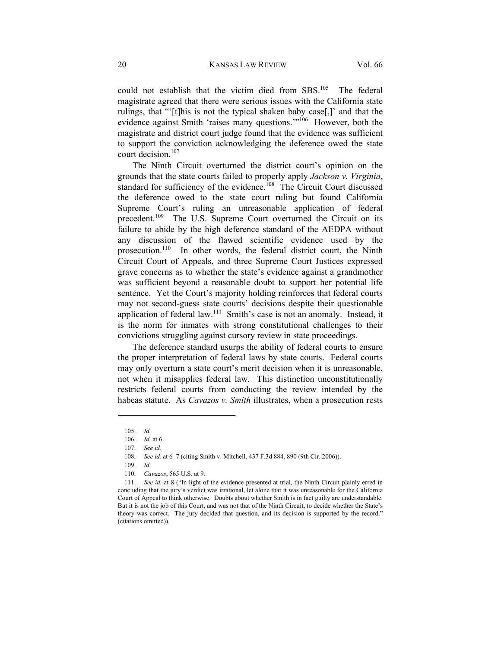could not establish that the victim died from SBS.<sup>105</sup> The federal magistrate agreed that there were serious issues with the California state rulings, that "'[t]his is not the typical shaken baby case[,]' and that the evidence against Smith 'raises many questions.'"106 However, both the magistrate and district court judge found that the evidence was sufficient to support the conviction acknowledging the deference owed the state court decision.<sup>107</sup>

The Ninth Circuit overturned the district court's opinion on the grounds that the state courts failed to properly apply *Jackson v. Virginia*, standard for sufficiency of the evidence.<sup>108</sup> The Circuit Court discussed the deference owed to the state court ruling but found California Supreme Court's ruling an unreasonable application of federal precedent.<sup>109</sup> The U.S. Supreme Court overturned the Circuit on its failure to abide by the high deference standard of the AEDPA without any discussion of the flawed scientific evidence used by the prosecution.110 In other words, the federal district court, the Ninth Circuit Court of Appeals, and three Supreme Court Justices expressed grave concerns as to whether the state's evidence against a grandmother was sufficient beyond a reasonable doubt to support her potential life sentence. Yet the Court's majority holding reinforces that federal courts may not second-guess state courts' decisions despite their questionable application of federal law.111 Smith's case is not an anomaly. Instead, it is the norm for inmates with strong constitutional challenges to their convictions struggling against cursory review in state proceedings.

The deference standard usurps the ability of federal courts to ensure the proper interpretation of federal laws by state courts. Federal courts may only overturn a state court's merit decision when it is unreasonable, not when it misapplies federal law. This distinction unconstitutionally restricts federal courts from conducting the review intended by the habeas statute. As *Cavazos v. Smith* illustrates, when a prosecution rests

 <sup>105.</sup> *Id.*

 <sup>106.</sup> *Id.* at 6.

 <sup>107.</sup> *See id.*

 <sup>108.</sup> *See id.* at 6–7 (citing Smith v. Mitchell, 437 F.3d 884, 890 (9th Cir. 2006)).

 <sup>109.</sup> *Id.*

 <sup>110.</sup> *Cavazos*, 565 U.S. at 9.

 <sup>111.</sup> *See id.* at 8 ("In light of the evidence presented at trial, the Ninth Circuit plainly erred in concluding that the jury's verdict was irrational, let alone that it was unreasonable for the California Court of Appeal to think otherwise. Doubts about whether Smith is in fact guilty are understandable. But it is not the job of this Court, and was not that of the Ninth Circuit, to decide whether the State's theory was correct. The jury decided that question, and its decision is supported by the record." (citations omitted)).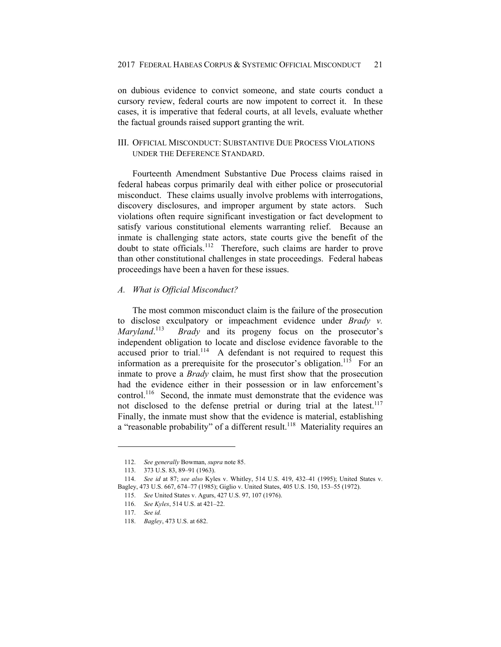on dubious evidence to convict someone, and state courts conduct a cursory review, federal courts are now impotent to correct it. In these cases, it is imperative that federal courts, at all levels, evaluate whether the factual grounds raised support granting the writ.

# III. OFFICIAL MISCONDUCT: SUBSTANTIVE DUE PROCESS VIOLATIONS UNDER THE DEFERENCE STANDARD.

Fourteenth Amendment Substantive Due Process claims raised in federal habeas corpus primarily deal with either police or prosecutorial misconduct. These claims usually involve problems with interrogations, discovery disclosures, and improper argument by state actors. Such violations often require significant investigation or fact development to satisfy various constitutional elements warranting relief. Because an inmate is challenging state actors, state courts give the benefit of the doubt to state officials.<sup>112</sup> Therefore, such claims are harder to prove than other constitutional challenges in state proceedings. Federal habeas proceedings have been a haven for these issues.

### *A. What is Official Misconduct?*

The most common misconduct claim is the failure of the prosecution to disclose exculpatory or impeachment evidence under *Brady v. Maryland*. *Brady* and its progeny focus on the prosecutor's independent obligation to locate and disclose evidence favorable to the accused prior to trial.<sup>114</sup> A defendant is not required to request this information as a prerequisite for the prosecutor's obligation.<sup>115</sup> For an inmate to prove a *Brady* claim, he must first show that the prosecution had the evidence either in their possession or in law enforcement's control.<sup>116</sup> Second, the inmate must demonstrate that the evidence was not disclosed to the defense pretrial or during trial at the latest.<sup>117</sup> Finally, the inmate must show that the evidence is material, establishing a "reasonable probability" of a different result.<sup>118</sup> Materiality requires an

 <sup>112.</sup> *See generally* Bowman, *supra* note 85.

 <sup>113. 373</sup> U.S. 83, 89–91 (1963).

 <sup>114.</sup> *See id* at 87; *see also* Kyles v. Whitley, 514 U.S. 419, 432–41 (1995); United States v. Bagley, 473 U.S. 667, 674–77 (1985); Giglio v. United States, 405 U.S. 150, 153–55 (1972).

 <sup>115.</sup> *See* United States v. Agurs, 427 U.S. 97, 107 (1976).

 <sup>116.</sup> *See Kyles*, 514 U.S. at 421–22.

 <sup>117.</sup> *See id.*

 <sup>118.</sup> *Bagley*, 473 U.S. at 682.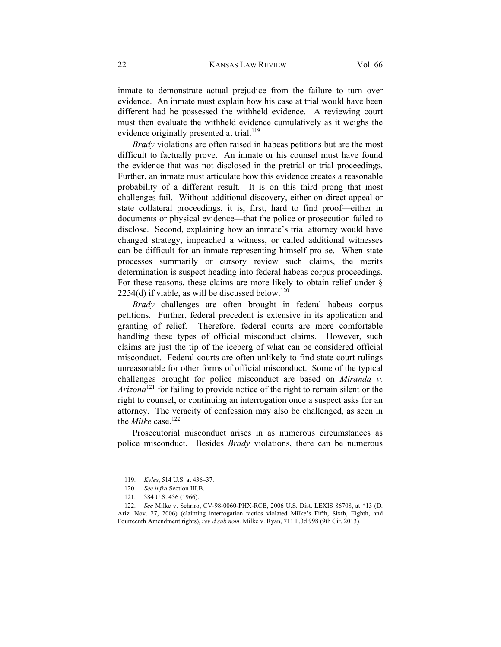inmate to demonstrate actual prejudice from the failure to turn over evidence. An inmate must explain how his case at trial would have been different had he possessed the withheld evidence. A reviewing court must then evaluate the withheld evidence cumulatively as it weighs the evidence originally presented at trial.<sup>119</sup>

*Brady* violations are often raised in habeas petitions but are the most difficult to factually prove. An inmate or his counsel must have found the evidence that was not disclosed in the pretrial or trial proceedings. Further, an inmate must articulate how this evidence creates a reasonable probability of a different result. It is on this third prong that most challenges fail. Without additional discovery, either on direct appeal or state collateral proceedings, it is, first, hard to find proof—either in documents or physical evidence—that the police or prosecution failed to disclose. Second, explaining how an inmate's trial attorney would have changed strategy, impeached a witness, or called additional witnesses can be difficult for an inmate representing himself pro se. When state processes summarily or cursory review such claims, the merits determination is suspect heading into federal habeas corpus proceedings. For these reasons, these claims are more likely to obtain relief under § 2254(d) if viable, as will be discussed below.<sup>120</sup>

*Brady* challenges are often brought in federal habeas corpus petitions. Further, federal precedent is extensive in its application and granting of relief. Therefore, federal courts are more comfortable handling these types of official misconduct claims. However, such claims are just the tip of the iceberg of what can be considered official misconduct. Federal courts are often unlikely to find state court rulings unreasonable for other forms of official misconduct. Some of the typical challenges brought for police misconduct are based on *Miranda v. Arizona*<sup>121</sup> for failing to provide notice of the right to remain silent or the right to counsel, or continuing an interrogation once a suspect asks for an attorney. The veracity of confession may also be challenged, as seen in the *Milke* case.<sup>122</sup>

Prosecutorial misconduct arises in as numerous circumstances as police misconduct. Besides *Brady* violations, there can be numerous

 <sup>119.</sup> *Kyles*, 514 U.S. at 436–37.

 <sup>120.</sup> *See infra* Section III.B.

 <sup>121. 384</sup> U.S. 436 (1966).

 <sup>122.</sup> *See* Milke v. Schriro, CV-98-0060-PHX-RCB, 2006 U.S. Dist. LEXIS 86708, at \*13 (D. Ariz. Nov. 27, 2006) (claiming interrogation tactics violated Milke's Fifth, Sixth, Eighth, and Fourteenth Amendment rights), *rev'd sub nom.* Milke v. Ryan, 711 F.3d 998 (9th Cir. 2013).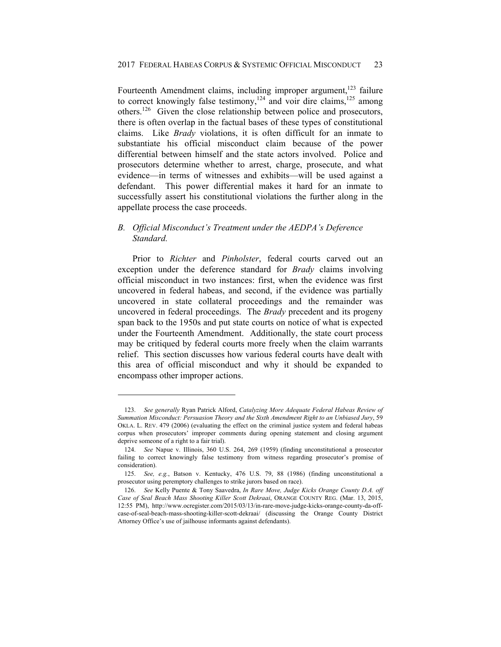Fourteenth Amendment claims, including improper argument,<sup>123</sup> failure to correct knowingly false testimony,<sup>124</sup> and voir dire claims,  $125$  among others.126 Given the close relationship between police and prosecutors, there is often overlap in the factual bases of these types of constitutional claims. Like *Brady* violations, it is often difficult for an inmate to substantiate his official misconduct claim because of the power differential between himself and the state actors involved. Police and prosecutors determine whether to arrest, charge, prosecute, and what evidence—in terms of witnesses and exhibits—will be used against a defendant. This power differential makes it hard for an inmate to successfully assert his constitutional violations the further along in the appellate process the case proceeds.

# *B. Official Misconduct's Treatment under the AEDPA's Deference Standard.*

Prior to *Richter* and *Pinholster*, federal courts carved out an exception under the deference standard for *Brady* claims involving official misconduct in two instances: first, when the evidence was first uncovered in federal habeas, and second, if the evidence was partially uncovered in state collateral proceedings and the remainder was uncovered in federal proceedings. The *Brady* precedent and its progeny span back to the 1950s and put state courts on notice of what is expected under the Fourteenth Amendment. Additionally, the state court process may be critiqued by federal courts more freely when the claim warrants relief. This section discusses how various federal courts have dealt with this area of official misconduct and why it should be expanded to encompass other improper actions.

 <sup>123.</sup> *See generally* Ryan Patrick Alford, *Catalyzing More Adequate Federal Habeas Review of Summation Misconduct: Persuasion Theory and the Sixth Amendment Right to an Unbiased Jury*, 59 OKLA. L. REV. 479 (2006) (evaluating the effect on the criminal justice system and federal habeas corpus when prosecutors' improper comments during opening statement and closing argument deprive someone of a right to a fair trial).

 <sup>124.</sup> *See* Napue v. Illinois, 360 U.S. 264, 269 (1959) (finding unconstitutional a prosecutor failing to correct knowingly false testimony from witness regarding prosecutor's promise of consideration).

 <sup>125.</sup> *See, e.g.*, Batson v. Kentucky, 476 U.S. 79, 88 (1986) (finding unconstitutional a prosecutor using peremptory challenges to strike jurors based on race).

 <sup>126.</sup> *See* Kelly Puente & Tony Saavedra, *In Rare Move, Judge Kicks Orange County D.A. off Case of Seal Beach Mass Shooting Killer Scott Dekraai*, ORANGE COUNTY REG. (Mar. 13, 2015, 12:55 PM), http://www.ocregister.com/2015/03/13/in-rare-move-judge-kicks-orange-county-da-offcase-of-seal-beach-mass-shooting-killer-scott-dekraai/ (discussing the Orange County District Attorney Office's use of jailhouse informants against defendants).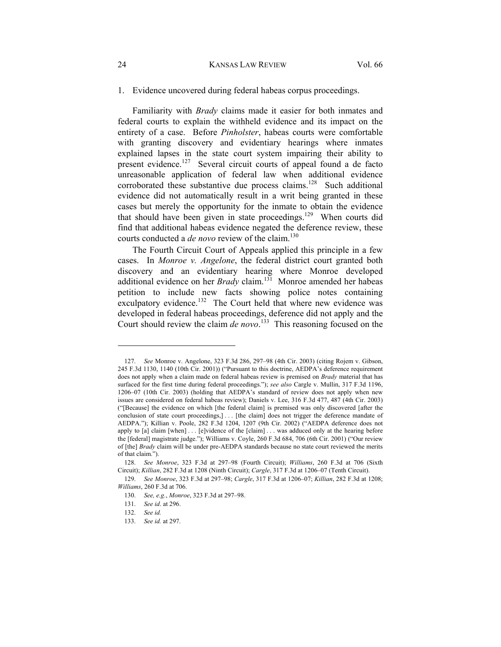#### 24 KANSAS LAW REVIEW Vol. 66

### 1. Evidence uncovered during federal habeas corpus proceedings.

Familiarity with *Brady* claims made it easier for both inmates and federal courts to explain the withheld evidence and its impact on the entirety of a case. Before *Pinholster*, habeas courts were comfortable with granting discovery and evidentiary hearings where inmates explained lapses in the state court system impairing their ability to present evidence.<sup>127</sup> Several circuit courts of appeal found a de facto unreasonable application of federal law when additional evidence corroborated these substantive due process claims.<sup>128</sup> Such additional evidence did not automatically result in a writ being granted in these cases but merely the opportunity for the inmate to obtain the evidence that should have been given in state proceedings.<sup>129</sup> When courts did find that additional habeas evidence negated the deference review, these courts conducted a *de novo* review of the claim.<sup>130</sup>

The Fourth Circuit Court of Appeals applied this principle in a few cases. In *Monroe v. Angelone*, the federal district court granted both discovery and an evidentiary hearing where Monroe developed additional evidence on her *Brady* claim.<sup>131</sup> Monroe amended her habeas petition to include new facts showing police notes containing exculpatory evidence.<sup>132</sup> The Court held that where new evidence was developed in federal habeas proceedings, deference did not apply and the Court should review the claim *de novo*. 133 This reasoning focused on the

 <sup>127.</sup> *See* Monroe v. Angelone, 323 F.3d 286, 297–98 (4th Cir. 2003) (citing Rojem v. Gibson, 245 F.3d 1130, 1140 (10th Cir. 2001)) ("Pursuant to this doctrine, AEDPA's deference requirement does not apply when a claim made on federal habeas review is premised on *Brady* material that has surfaced for the first time during federal proceedings."); *see also* Cargle v. Mullin, 317 F.3d 1196, 1206–07 (10th Cir. 2003) (holding that AEDPA's standard of review does not apply when new issues are considered on federal habeas review); Daniels v. Lee, 316 F.3d 477, 487 (4th Cir. 2003) ("[Because] the evidence on which [the federal claim] is premised was only discovered [after the conclusion of state court proceedings,] . . . [the claim] does not trigger the deference mandate of AEDPA."); Killian v. Poole, 282 F.3d 1204, 1207 (9th Cir. 2002) ("AEDPA deference does not apply to [a] claim [when] . . . [e]vidence of the [claim] . . . was adduced only at the hearing before the [federal] magistrate judge."); Williams v. Coyle, 260 F.3d 684, 706 (6th Cir. 2001) ("Our review of [the] *Brady* claim will be under pre-AEDPA standards because no state court reviewed the merits of that claim.").

 <sup>128.</sup> *See Monroe*, 323 F.3d at 297–98 (Fourth Circuit); *Williams*, 260 F.3d at 706 (Sixth Circuit); *Killian*, 282 F.3d at 1208 (Ninth Circuit); *Cargle*, 317 F.3d at 1206–07 (Tenth Circuit).

 <sup>129.</sup> *See Monroe*, 323 F.3d at 297–98; *Cargle*, 317 F.3d at 1206–07; *Killian*, 282 F.3d at 1208; *Williams*, 260 F.3d at 706.

 <sup>130.</sup> *See, e.g.*, *Monroe*, 323 F.3d at 297–98.

 <sup>131.</sup> *See id*. at 296.

 <sup>132.</sup> *See id.*

 <sup>133.</sup> *See id.* at 297.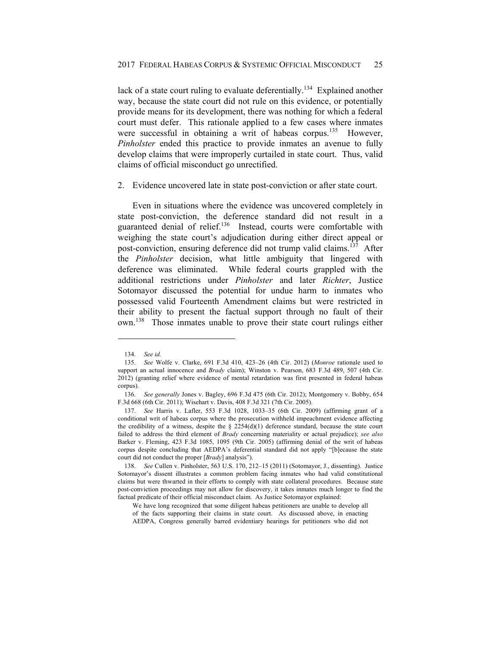lack of a state court ruling to evaluate deferentially.<sup>134</sup> Explained another way, because the state court did not rule on this evidence, or potentially provide means for its development, there was nothing for which a federal court must defer. This rationale applied to a few cases where inmates were successful in obtaining a writ of habeas corpus.<sup>135</sup> However, *Pinholster* ended this practice to provide inmates an avenue to fully develop claims that were improperly curtailed in state court. Thus, valid claims of official misconduct go unrectified.

2. Evidence uncovered late in state post-conviction or after state court.

Even in situations where the evidence was uncovered completely in state post-conviction, the deference standard did not result in a guaranteed denial of relief.136 Instead, courts were comfortable with weighing the state court's adjudication during either direct appeal or post-conviction, ensuring deference did not trump valid claims.<sup>137</sup> After the *Pinholster* decision, what little ambiguity that lingered with deference was eliminated. While federal courts grappled with the additional restrictions under *Pinholster* and later *Richter*, Justice Sotomayor discussed the potential for undue harm to inmates who possessed valid Fourteenth Amendment claims but were restricted in their ability to present the factual support through no fault of their own.138 Those inmates unable to prove their state court rulings either

 <sup>134.</sup> *See id.*

 <sup>135.</sup> *See* Wolfe v. Clarke, 691 F.3d 410, 423–26 (4th Cir. 2012) (*Monroe* rationale used to support an actual innocence and *Brady* claim); Winston v. Pearson, 683 F.3d 489, 507 (4th Cir. 2012) (granting relief where evidence of mental retardation was first presented in federal habeas corpus).

 <sup>136.</sup> *See generally* Jones v. Bagley, 696 F.3d 475 (6th Cir. 2012); Montgomery v. Bobby, 654 F.3d 668 (6th Cir. 2011); Wisehart v. Davis, 408 F.3d 321 (7th Cir. 2005).

 <sup>137.</sup> *See* Harris v. Lafler, 553 F.3d 1028, 1033–35 (6th Cir. 2009) (affirming grant of a conditional writ of habeas corpus where the prosecution withheld impeachment evidence affecting the credibility of a witness, despite the  $\S$  2254(d)(1) deference standard, because the state court failed to address the third element of *Brady* concerning materiality or actual prejudice); *see also*  Barker v. Fleming, 423 F.3d 1085, 1095 (9th Cir. 2005) (affirming denial of the writ of habeas corpus despite concluding that AEDPA's deferential standard did not apply "[b]ecause the state court did not conduct the proper [*Brady*] analysis").

 <sup>138.</sup> *See* Cullen v. Pinholster, 563 U.S. 170, 212–15 (2011) (Sotomayor, J., dissenting). Justice Sotomayor's dissent illustrates a common problem facing inmates who had valid constitutional claims but were thwarted in their efforts to comply with state collateral procedures. Because state post-conviction proceedings may not allow for discovery, it takes inmates much longer to find the factual predicate of their official misconduct claim. As Justice Sotomayor explained:

We have long recognized that some diligent habeas petitioners are unable to develop all of the facts supporting their claims in state court. As discussed above, in enacting AEDPA, Congress generally barred evidentiary hearings for petitioners who did not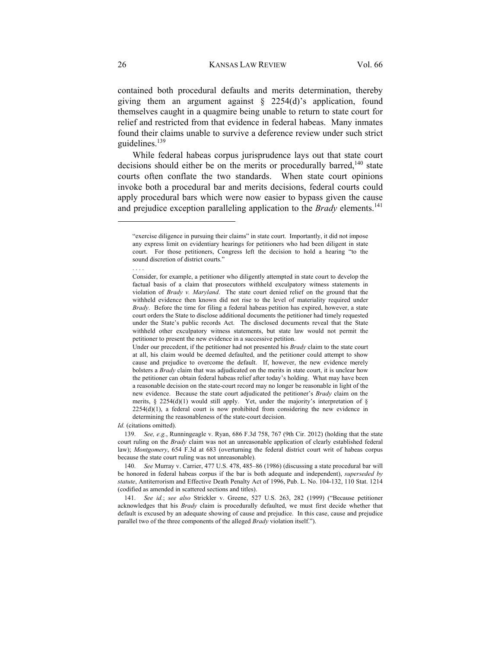contained both procedural defaults and merits determination, thereby giving them an argument against  $\S$  2254(d)'s application, found themselves caught in a quagmire being unable to return to state court for relief and restricted from that evidence in federal habeas. Many inmates found their claims unable to survive a deference review under such strict guidelines. $139$ 

While federal habeas corpus jurisprudence lays out that state court decisions should either be on the merits or procedurally barred,<sup>140</sup> state courts often conflate the two standards. When state court opinions invoke both a procedural bar and merits decisions, federal courts could apply procedural bars which were now easier to bypass given the cause and prejudice exception paralleling application to the *Brady* elements.<sup>141</sup>

*Id.* (citations omitted).

 139. *See, e.g.*, Runningeagle v. Ryan, 686 F.3d 758, 767 (9th Cir. 2012) (holding that the state court ruling on the *Brady* claim was not an unreasonable application of clearly established federal law); *Montgomery*, 654 F.3d at 683 (overturning the federal district court writ of habeas corpus because the state court ruling was not unreasonable).

 140. *See* Murray v. Carrier, 477 U.S. 478, 485–86 (1986) (discussing a state procedural bar will be honored in federal habeas corpus if the bar is both adequate and independent), *superseded by statute*, Antiterrorism and Effective Death Penalty Act of 1996, Pub. L. No. 104-132, 110 Stat. 1214 (codified as amended in scattered sections and titles).

 141. *See id.*; *see also* Strickler v. Greene, 527 U.S. 263, 282 (1999) ("Because petitioner acknowledges that his *Brady* claim is procedurally defaulted, we must first decide whether that default is excused by an adequate showing of cause and prejudice. In this case, cause and prejudice parallel two of the three components of the alleged *Brady* violation itself.").

l

. . . .

<sup>&</sup>quot;exercise diligence in pursuing their claims" in state court. Importantly, it did not impose any express limit on evidentiary hearings for petitioners who had been diligent in state court. For those petitioners, Congress left the decision to hold a hearing "to the sound discretion of district courts."

Consider, for example, a petitioner who diligently attempted in state court to develop the factual basis of a claim that prosecutors withheld exculpatory witness statements in violation of *Brady v. Maryland*. The state court denied relief on the ground that the withheld evidence then known did not rise to the level of materiality required under *Brady*. Before the time for filing a federal habeas petition has expired, however, a state court orders the State to disclose additional documents the petitioner had timely requested under the State's public records Act. The disclosed documents reveal that the State withheld other exculpatory witness statements, but state law would not permit the petitioner to present the new evidence in a successive petition.

Under our precedent, if the petitioner had not presented his *Brady* claim to the state court at all, his claim would be deemed defaulted, and the petitioner could attempt to show cause and prejudice to overcome the default. If, however, the new evidence merely bolsters a *Brady* claim that was adjudicated on the merits in state court, it is unclear how the petitioner can obtain federal habeas relief after today's holding. What may have been a reasonable decision on the state-court record may no longer be reasonable in light of the new evidence. Because the state court adjudicated the petitioner's *Brady* claim on the merits,  $\S$  2254(d)(1) would still apply. Yet, under the majority's interpretation of  $\S$ 2254(d)(1), a federal court is now prohibited from considering the new evidence in determining the reasonableness of the state-court decision.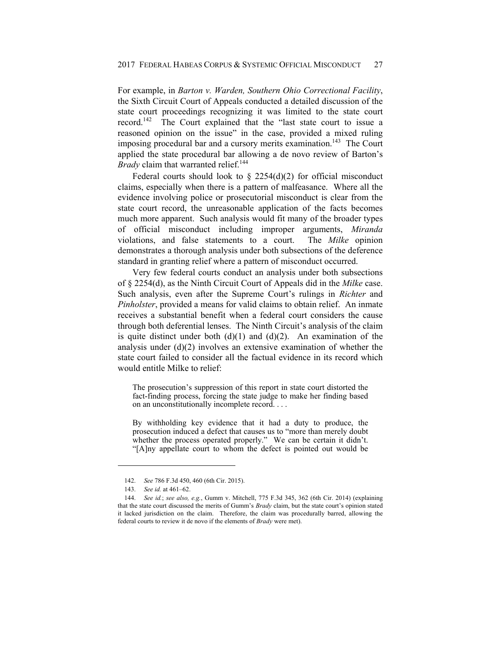For example, in *Barton v. Warden, Southern Ohio Correctional Facility*, the Sixth Circuit Court of Appeals conducted a detailed discussion of the state court proceedings recognizing it was limited to the state court record.142 The Court explained that the "last state court to issue a reasoned opinion on the issue" in the case, provided a mixed ruling imposing procedural bar and a cursory merits examination.<sup>143</sup> The Court applied the state procedural bar allowing a de novo review of Barton's *Brady* claim that warranted relief.<sup>144</sup>

Federal courts should look to  $\S$  2254(d)(2) for official misconduct claims, especially when there is a pattern of malfeasance. Where all the evidence involving police or prosecutorial misconduct is clear from the state court record, the unreasonable application of the facts becomes much more apparent. Such analysis would fit many of the broader types of official misconduct including improper arguments, *Miranda*  violations, and false statements to a court. The *Milke* opinion demonstrates a thorough analysis under both subsections of the deference standard in granting relief where a pattern of misconduct occurred.

Very few federal courts conduct an analysis under both subsections of § 2254(d), as the Ninth Circuit Court of Appeals did in the *Milke* case. Such analysis, even after the Supreme Court's rulings in *Richter* and *Pinholster*, provided a means for valid claims to obtain relief. An inmate receives a substantial benefit when a federal court considers the cause through both deferential lenses. The Ninth Circuit's analysis of the claim is quite distinct under both  $(d)(1)$  and  $(d)(2)$ . An examination of the analysis under (d)(2) involves an extensive examination of whether the state court failed to consider all the factual evidence in its record which would entitle Milke to relief:

The prosecution's suppression of this report in state court distorted the fact-finding process, forcing the state judge to make her finding based on an unconstitutionally incomplete record. . . .

By withholding key evidence that it had a duty to produce, the prosecution induced a defect that causes us to "more than merely doubt whether the process operated properly." We can be certain it didn't. "[A]ny appellate court to whom the defect is pointed out would be

 <sup>142.</sup> *See* 786 F.3d 450, 460 (6th Cir. 2015).

 <sup>143.</sup> *See id.* at 461–62.

 <sup>144.</sup> *See id.*; *see also, e.g.*, Gumm v. Mitchell, 775 F.3d 345, 362 (6th Cir. 2014) (explaining that the state court discussed the merits of Gumm's *Brady* claim, but the state court's opinion stated it lacked jurisdiction on the claim. Therefore, the claim was procedurally barred, allowing the federal courts to review it de novo if the elements of *Brady* were met).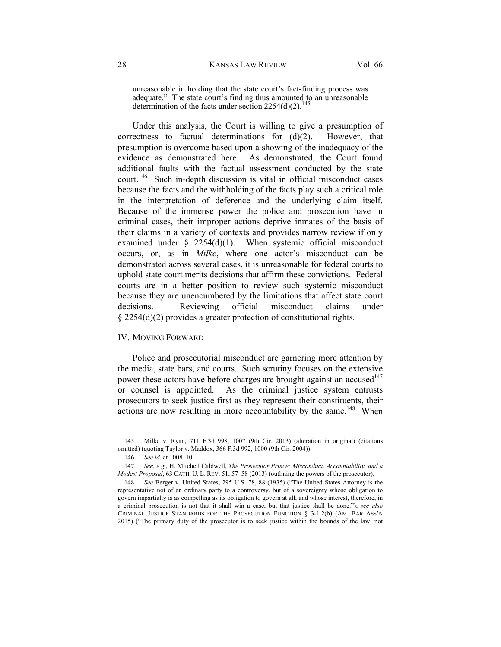unreasonable in holding that the state court's fact-finding process was adequate." The state court's finding thus amounted to an unreasonable determination of the facts under section  $2254(d)(2)$ .<sup>145</sup>

Under this analysis, the Court is willing to give a presumption of correctness to factual determinations for  $(d)(2)$ . However, that presumption is overcome based upon a showing of the inadequacy of the evidence as demonstrated here. As demonstrated, the Court found additional faults with the factual assessment conducted by the state court.146 Such in-depth discussion is vital in official misconduct cases because the facts and the withholding of the facts play such a critical role in the interpretation of deference and the underlying claim itself. Because of the immense power the police and prosecution have in criminal cases, their improper actions deprive inmates of the basis of their claims in a variety of contexts and provides narrow review if only examined under  $\S$  2254(d)(1). When systemic official misconduct occurs, or, as in *Milke*, where one actor's misconduct can be demonstrated across several cases, it is unreasonable for federal courts to uphold state court merits decisions that affirm these convictions. Federal courts are in a better position to review such systemic misconduct because they are unencumbered by the limitations that affect state court decisions. Reviewing official misconduct claims under § 2254(d)(2) provides a greater protection of constitutional rights.

### IV. MOVING FORWARD

Police and prosecutorial misconduct are garnering more attention by the media, state bars, and courts. Such scrutiny focuses on the extensive power these actors have before charges are brought against an accused<sup>147</sup> or counsel is appointed. As the criminal justice system entrusts prosecutors to seek justice first as they represent their constituents, their actions are now resulting in more accountability by the same.<sup>148</sup> When

 <sup>145.</sup> Milke v. Ryan, 711 F.3d 998, 1007 (9th Cir. 2013) (alteration in original) (citations omitted) (quoting Taylor v. Maddox, 366 F.3d 992, 1000 (9th Cir. 2004)).

 <sup>146.</sup> *See id.* at 1008–10.

 <sup>147.</sup> *See, e.g.*, H. Mitchell Caldwell, *The Prosecutor Prince: Misconduct, Accountability, and a Modest Proposal*, 63 CATH. U. L. REV. 51, 57–58 (2013) (outlining the powers of the prosecutor).

 <sup>148.</sup> *See* Berger v. United States, 295 U.S. 78, 88 (1935) ("The United States Attorney is the representative not of an ordinary party to a controversy, but of a sovereignty whose obligation to govern impartially is as compelling as its obligation to govern at all; and whose interest, therefore, in a criminal prosecution is not that it shall win a case, but that justice shall be done."); *see also* CRIMINAL JUSTICE STANDARDS FOR THE PROSECUTION FUNCTION § 3-1.2(b) (AM. BAR ASS'N 2015) ("The primary duty of the prosecutor is to seek justice within the bounds of the law, not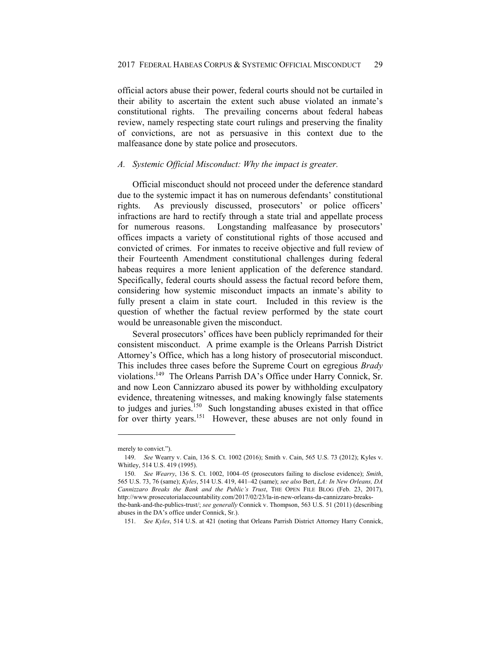official actors abuse their power, federal courts should not be curtailed in their ability to ascertain the extent such abuse violated an inmate's constitutional rights. The prevailing concerns about federal habeas review, namely respecting state court rulings and preserving the finality of convictions, are not as persuasive in this context due to the malfeasance done by state police and prosecutors.

### *A. Systemic Official Misconduct: Why the impact is greater.*

Official misconduct should not proceed under the deference standard due to the systemic impact it has on numerous defendants' constitutional rights. As previously discussed, prosecutors' or police officers' infractions are hard to rectify through a state trial and appellate process for numerous reasons. Longstanding malfeasance by prosecutors' offices impacts a variety of constitutional rights of those accused and convicted of crimes. For inmates to receive objective and full review of their Fourteenth Amendment constitutional challenges during federal habeas requires a more lenient application of the deference standard. Specifically, federal courts should assess the factual record before them, considering how systemic misconduct impacts an inmate's ability to fully present a claim in state court. Included in this review is the question of whether the factual review performed by the state court would be unreasonable given the misconduct.

Several prosecutors' offices have been publicly reprimanded for their consistent misconduct. A prime example is the Orleans Parrish District Attorney's Office, which has a long history of prosecutorial misconduct. This includes three cases before the Supreme Court on egregious *Brady* violations.149 The Orleans Parrish DA's Office under Harry Connick, Sr. and now Leon Cannizzaro abused its power by withholding exculpatory evidence, threatening witnesses, and making knowingly false statements to judges and juries.<sup>150</sup> Such longstanding abuses existed in that office for over thirty years.<sup>151</sup> However, these abuses are not only found in

merely to convict.").

 <sup>149.</sup> *See* Wearry v. Cain, 136 S. Ct. 1002 (2016); Smith v. Cain, 565 U.S. 73 (2012); Kyles v. Whitley, 514 U.S. 419 (1995).

 <sup>150.</sup> *See Wearry*, 136 S. Ct. 1002, 1004–05 (prosecutors failing to disclose evidence); *Smith*, 565 U.S. 73, 76 (same); *Kyles*, 514 U.S. 419, 441–42 (same); *see also* Bert, *LA: In New Orleans, DA Cannizzaro Breaks the Bank and the Public's Trust*, THE OPEN FILE BLOG (Feb. 23, 2017), http://www.prosecutorialaccountability.com/2017/02/23/la-in-new-orleans-da-cannizzaro-breaksthe-bank-and-the-publics-trust/; *see generally* Connick v. Thompson, 563 U.S. 51 (2011) (describing abuses in the DA's office under Connick, Sr.).

 <sup>151.</sup> *See Kyles*, 514 U.S. at 421 (noting that Orleans Parrish District Attorney Harry Connick,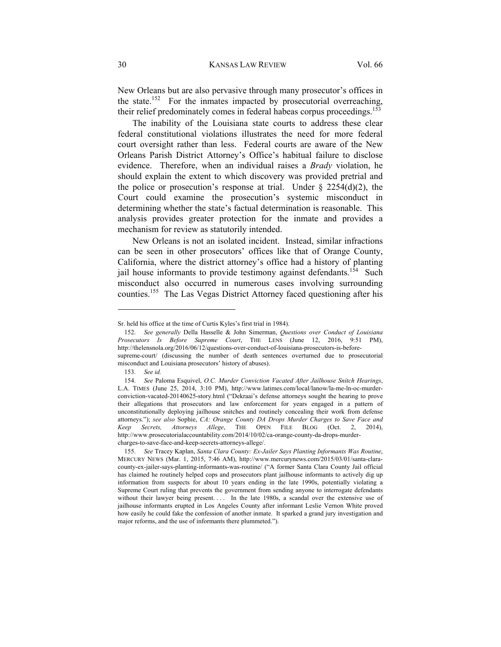New Orleans but are also pervasive through many prosecutor's offices in the state.<sup>152</sup> For the inmates impacted by prosecutorial overreaching, their relief predominately comes in federal habeas corpus proceedings.<sup>153</sup>

The inability of the Louisiana state courts to address these clear federal constitutional violations illustrates the need for more federal court oversight rather than less. Federal courts are aware of the New Orleans Parish District Attorney's Office's habitual failure to disclose evidence. Therefore, when an individual raises a *Brady* violation, he should explain the extent to which discovery was provided pretrial and the police or prosecution's response at trial. Under  $\S$  2254(d)(2), the Court could examine the prosecution's systemic misconduct in determining whether the state's factual determination is reasonable. This analysis provides greater protection for the inmate and provides a mechanism for review as statutorily intended.

New Orleans is not an isolated incident. Instead, similar infractions can be seen in other prosecutors' offices like that of Orange County, California, where the district attorney's office had a history of planting jail house informants to provide testimony against defendants.<sup>154</sup> Such misconduct also occurred in numerous cases involving surrounding counties.155 The Las Vegas District Attorney faced questioning after his

Sr. held his office at the time of Curtis Kyles's first trial in 1984).

 <sup>152.</sup> *See generally* Della Hasselle & John Simerman, *Questions over Conduct of Louisiana Prosecutors Is Before Supreme Court*, THE LENS (June 12, 2016, 9:51 PM), http://thelensnola.org/2016/06/12/questions-over-conduct-of-louisiana-prosecutors-is-beforesupreme-court/ (discussing the number of death sentences overturned due to prosecutorial misconduct and Louisiana prosecutors' history of abuses).

 <sup>153.</sup> *See id.*

 <sup>154.</sup> *See* Paloma Esquivel, *O.C. Murder Conviction Vacated After Jailhouse Snitch Hearings*, L.A. TIMES (June 25, 2014, 3:10 PM), http://www.latimes.com/local/lanow/la-me-ln-oc-murderconviction-vacated-20140625-story.html ("Dekraai's defense attorneys sought the hearing to prove their allegations that prosecutors and law enforcement for years engaged in a pattern of unconstitutionally deploying jailhouse snitches and routinely concealing their work from defense attorneys."); *see also* Sophie, *CA: Orange County DA Drops Murder Charges to Save Face and Keep Secrets, Attorneys Allege*, THE OPEN FILE BLOG (Oct. 2, 2014), http://www.prosecutorialaccountability.com/2014/10/02/ca-orange-county-da-drops-murdercharges-to-save-face-and-keep-secrets-attorneys-allege/.

 <sup>155.</sup> *See* Tracey Kaplan, *Santa Clara County: Ex-Jailer Says Planting Informants Was Routine*, MERCURY NEWS (Mar. 1, 2015, 7:46 AM), http://www.mercurynews.com/2015/03/01/santa-claracounty-ex-jailer-says-planting-informants-was-routine/ ("A former Santa Clara County Jail official has claimed he routinely helped cops and prosecutors plant jailhouse informants to actively dig up information from suspects for about 10 years ending in the late 1990s, potentially violating a Supreme Court ruling that prevents the government from sending anyone to interrogate defendants without their lawyer being present. . . . In the late 1980s, a scandal over the extensive use of jailhouse informants erupted in Los Angeles County after informant Leslie Vernon White proved how easily he could fake the confession of another inmate. It sparked a grand jury investigation and major reforms, and the use of informants there plummeted.").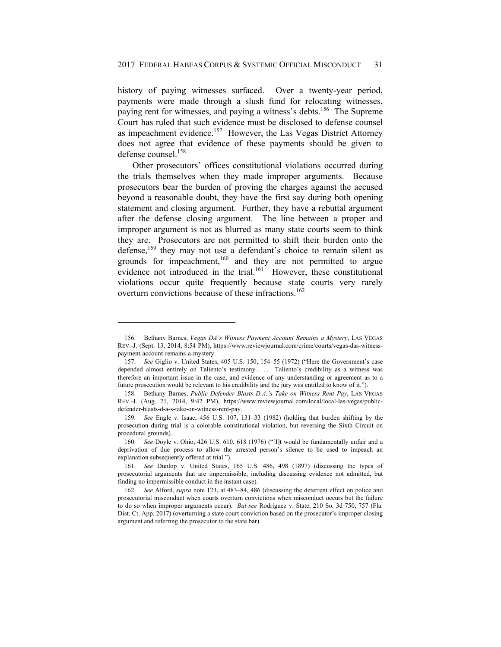history of paying witnesses surfaced. Over a twenty-year period, payments were made through a slush fund for relocating witnesses, paying rent for witnesses, and paying a witness's debts.<sup>156</sup> The Supreme Court has ruled that such evidence must be disclosed to defense counsel as impeachment evidence.<sup>157</sup> However, the Las Vegas District Attorney does not agree that evidence of these payments should be given to defense counsel.<sup>158</sup>

Other prosecutors' offices constitutional violations occurred during the trials themselves when they made improper arguments. Because prosecutors bear the burden of proving the charges against the accused beyond a reasonable doubt, they have the first say during both opening statement and closing argument. Further, they have a rebuttal argument after the defense closing argument. The line between a proper and improper argument is not as blurred as many state courts seem to think they are. Prosecutors are not permitted to shift their burden onto the defense,<sup>159</sup> they may not use a defendant's choice to remain silent as grounds for impeachment,<sup>160</sup> and they are not permitted to argue evidence not introduced in the trial.<sup>161</sup> However, these constitutional violations occur quite frequently because state courts very rarely overturn convictions because of these infractions.<sup>162</sup>

 <sup>156.</sup> Bethany Barnes, *Vegas DA's Witness Payment Account Remains a Mystery*, LAS VEGAS REV.-J. (Sept. 13, 2014, 8:54 PM), https://www.reviewjournal.com/crime/courts/vegas-das-witnesspayment-account-remains-a-mystery.

 <sup>157.</sup> *See* Giglio v. United States, 405 U.S. 150, 154–55 (1972) ("Here the Government's case depended almost entirely on Taliento's testimony .... Taliento's credibility as a witness was therefore an important issue in the case, and evidence of any understanding or agreement as to a future prosecution would be relevant to his credibility and the jury was entitled to know of it.").

 <sup>158.</sup> Bethany Barnes, *Public Defender Blasts D.A.'s Take on Witness Rent Pay*, LAS VEGAS REV.-J. (Aug. 21, 2014, 9:42 PM), https://www.reviewjournal.com/local/local-las-vegas/publicdefender-blasts-d-a-s-take-on-witness-rent-pay.

 <sup>159.</sup> *See* Engle v. Isaac, 456 U.S. 107, 131–33 (1982) (holding that burden shifting by the prosecution during trial is a colorable constitutional violation, but reversing the Sixth Circuit on procedural grounds).

 <sup>160.</sup> *See* Doyle v. Ohio, 426 U.S. 610, 618 (1976) ("[I]t would be fundamentally unfair and a deprivation of due process to allow the arrested person's silence to be used to impeach an explanation subsequently offered at trial.").

 <sup>161.</sup> *See* Dunlop v. United States, 165 U.S. 486, 498 (1897) (discussing the types of prosecutorial arguments that are impermissible, including discussing evidence not admitted, but finding no impermissible conduct in the instant case).

 <sup>162.</sup> *See* Alford, *supra* note 123, at 483–84, 486 (discussing the deterrent effect on police and prosecutorial misconduct when courts overturn convictions when misconduct occurs but the failure to do so when improper arguments occur). *But see* Rodriguez v. State, 210 So. 3d 750, 757 (Fla. Dist. Ct. App. 2017) (overturning a state court conviction based on the prosecutor's improper closing argument and referring the prosecutor to the state bar).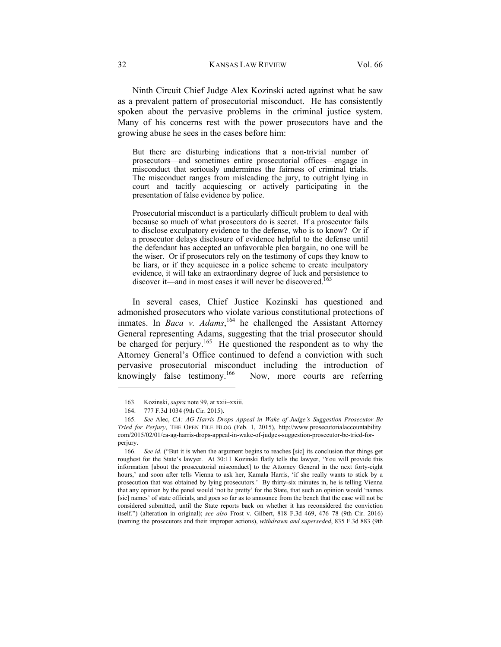Ninth Circuit Chief Judge Alex Kozinski acted against what he saw as a prevalent pattern of prosecutorial misconduct. He has consistently spoken about the pervasive problems in the criminal justice system. Many of his concerns rest with the power prosecutors have and the growing abuse he sees in the cases before him:

But there are disturbing indications that a non-trivial number of prosecutors—and sometimes entire prosecutorial offices—engage in misconduct that seriously undermines the fairness of criminal trials. The misconduct ranges from misleading the jury, to outright lying in court and tacitly acquiescing or actively participating in the presentation of false evidence by police.

Prosecutorial misconduct is a particularly difficult problem to deal with because so much of what prosecutors do is secret. If a prosecutor fails to disclose exculpatory evidence to the defense, who is to know? Or if a prosecutor delays disclosure of evidence helpful to the defense until the defendant has accepted an unfavorable plea bargain, no one will be the wiser. Or if prosecutors rely on the testimony of cops they know to be liars, or if they acquiesce in a police scheme to create inculpatory evidence, it will take an extraordinary degree of luck and persistence to discover it—and in most cases it will never be discovered.<sup>1</sup>

In several cases, Chief Justice Kozinski has questioned and admonished prosecutors who violate various constitutional protections of inmates. In *Baca v. Adams*, 164 he challenged the Assistant Attorney General representing Adams, suggesting that the trial prosecutor should be charged for perjury.<sup>165</sup> He questioned the respondent as to why the Attorney General's Office continued to defend a conviction with such pervasive prosecutorial misconduct including the introduction of knowingly false testimony.<sup>166</sup> Now, more courts are referring

 <sup>163.</sup> Kozinski, *supra* note 99, at xxii–xxiii.

 <sup>164. 777</sup> F.3d 1034 (9th Cir. 2015).

 <sup>165.</sup> *See* Alec, *CA: AG Harris Drops Appeal in Wake of Judge's Suggestion Prosecutor Be Tried for Perjury*, THE OPEN FILE BLOG (Feb. 1, 2015), http://www.prosecutorialaccountability. com/2015/02/01/ca-ag-harris-drops-appeal-in-wake-of-judges-suggestion-prosecutor-be-tried-forperjury.

 <sup>166.</sup> *See id.* ("But it is when the argument begins to reaches [sic] its conclusion that things get roughest for the State's lawyer. At 30:11 Kozinski flatly tells the lawyer, 'You will provide this information [about the prosecutorial misconduct] to the Attorney General in the next forty-eight hours,' and soon after tells Vienna to ask her, Kamala Harris, 'if she really wants to stick by a prosecution that was obtained by lying prosecutors.' By thirty-six minutes in, he is telling Vienna that any opinion by the panel would 'not be pretty' for the State, that such an opinion would 'names [sic] names' of state officials, and goes so far as to announce from the bench that the case will not be considered submitted, until the State reports back on whether it has reconsidered the conviction itself.") (alteration in original); *see also* Frost v. Gilbert, 818 F.3d 469, 476–78 (9th Cir. 2016) (naming the prosecutors and their improper actions), *withdrawn and superseded*, 835 F.3d 883 (9th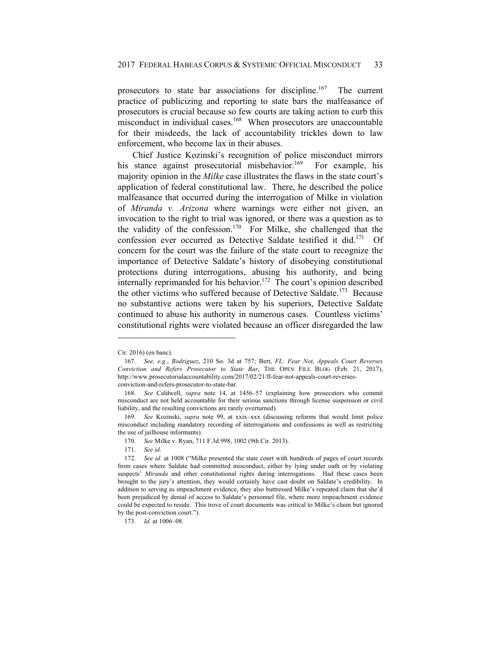prosecutors to state bar associations for discipline.<sup>167</sup> The current practice of publicizing and reporting to state bars the malfeasance of prosecutors is crucial because so few courts are taking action to curb this misconduct in individual cases.<sup>168</sup> When prosecutors are unaccountable for their misdeeds, the lack of accountability trickles down to law enforcement, who become lax in their abuses.

Chief Justice Kozinski's recognition of police misconduct mirrors his stance against prosecutorial misbehavior.<sup>169</sup> For example, his majority opinion in the *Milke* case illustrates the flaws in the state court's application of federal constitutional law. There, he described the police malfeasance that occurred during the interrogation of Milke in violation of *Miranda v. Arizona* where warnings were either not given, an invocation to the right to trial was ignored, or there was a question as to the validity of the confession.<sup>170</sup> For Milke, she challenged that the confession ever occurred as Detective Saldate testified it did.<sup>171</sup> Of concern for the court was the failure of the state court to recognize the importance of Detective Saldate's history of disobeying constitutional protections during interrogations, abusing his authority, and being  $internally reprimanded for his behavior.<sup>172</sup> The court's opinion described$ the other victims who suffered because of Detective Saldate.<sup>173</sup> Because no substantive actions were taken by his superiors, Detective Saldate continued to abuse his authority in numerous cases. Countless victims' constitutional rights were violated because an officer disregarded the law

Cir. 2016) (en banc).

 <sup>167.</sup> *See, e.g.*, *Rodriguez*, 210 So. 3d at 757; Bert, *FL: Fear Not, Appeals Court Reverses Conviction and Refers Prosecutor to State Bar*, THE OPEN FILE BLOG (Feb. 21, 2017), http://www.prosecutorialaccountability.com/2017/02/21/fl-fear-not-appeals-court-reversesconviction-and-refers-prosecutor-to-state-bar.

 <sup>168.</sup> *See* Caldwell, *supra* note 14, at 1456–57 (explaining how prosecutors who commit misconduct are not held accountable for their serious sanctions through license suspension or civil liability, and the resulting convictions are rarely overturned).

 <sup>169.</sup> *See* Kozinski, *supra* note 99, at xxix–xxx (discussing reforms that would limit police misconduct including mandatory recording of interrogations and confessions as well as restricting the use of jailhouse informants).

 <sup>170.</sup> *See* Milke v. Ryan, 711 F.3d 998, 1002 (9th Cir. 2013).

 <sup>171.</sup> *See id*.

 <sup>172.</sup> *See id.* at 1008 ("Milke presented the state court with hundreds of pages of court records from cases where Saldate had committed misconduct, either by lying under oath or by violating suspects' *Miranda* and other constitutional rights during interrogations. Had these cases been brought to the jury's attention, they would certainly have cast doubt on Saldate's credibility. In addition to serving as impeachment evidence, they also buttressed Milke's repeated claim that she'd been prejudiced by denial of access to Saldate's personnel file, where more impeachment evidence could be expected to reside. This trove of court documents was critical to Milke's claim but ignored by the post-conviction court.").

 <sup>173.</sup> *Id.* at 1006–08.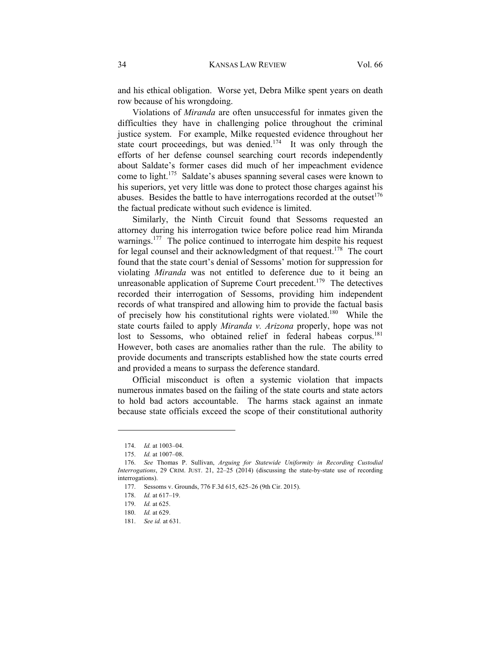and his ethical obligation. Worse yet, Debra Milke spent years on death row because of his wrongdoing.

Violations of *Miranda* are often unsuccessful for inmates given the difficulties they have in challenging police throughout the criminal justice system. For example, Milke requested evidence throughout her state court proceedings, but was denied.<sup>174</sup> It was only through the efforts of her defense counsel searching court records independently about Saldate's former cases did much of her impeachment evidence come to light.175 Saldate's abuses spanning several cases were known to his superiors, yet very little was done to protect those charges against his abuses. Besides the battle to have interrogations recorded at the outset $176$ the factual predicate without such evidence is limited.

Similarly, the Ninth Circuit found that Sessoms requested an attorney during his interrogation twice before police read him Miranda warnings.<sup>177</sup> The police continued to interrogate him despite his request for legal counsel and their acknowledgment of that request.<sup>178</sup> The court found that the state court's denial of Sessoms' motion for suppression for violating *Miranda* was not entitled to deference due to it being an unreasonable application of Supreme Court precedent.<sup>179</sup> The detectives recorded their interrogation of Sessoms, providing him independent records of what transpired and allowing him to provide the factual basis of precisely how his constitutional rights were violated.180 While the state courts failed to apply *Miranda v. Arizona* properly, hope was not lost to Sessoms, who obtained relief in federal habeas corpus.<sup>181</sup> However, both cases are anomalies rather than the rule. The ability to provide documents and transcripts established how the state courts erred and provided a means to surpass the deference standard.

Official misconduct is often a systemic violation that impacts numerous inmates based on the failing of the state courts and state actors to hold bad actors accountable. The harms stack against an inmate because state officials exceed the scope of their constitutional authority

 <sup>174.</sup> *Id.* at 1003–04.

 <sup>175.</sup> *Id.* at 1007–08.

 <sup>176.</sup> *See* Thomas P. Sullivan, *Arguing for Statewide Uniformity in Recording Custodial Interrogations*, 29 CRIM. JUST. 21, 22–25 (2014) (discussing the state-by-state use of recording interrogations).

 <sup>177.</sup> Sessoms v. Grounds, 776 F.3d 615, 625–26 (9th Cir. 2015).

 <sup>178.</sup> *Id.* at 617–19.

 <sup>179.</sup> *Id.* at 625.

 <sup>180.</sup> *Id.* at 629.

 <sup>181.</sup> *See id.* at 631.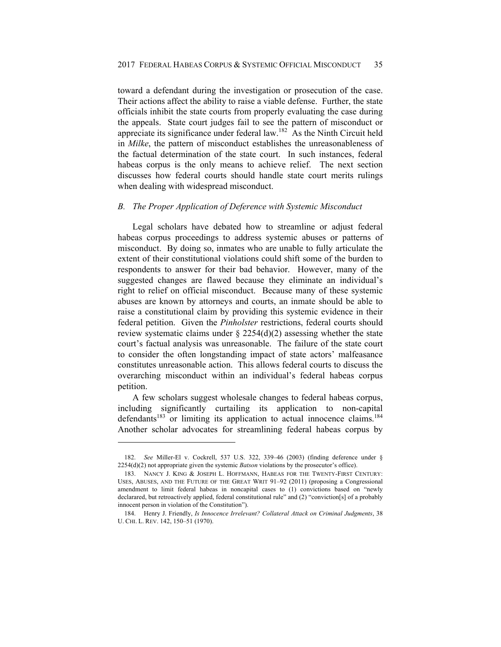toward a defendant during the investigation or prosecution of the case. Their actions affect the ability to raise a viable defense. Further, the state officials inhibit the state courts from properly evaluating the case during the appeals. State court judges fail to see the pattern of misconduct or appreciate its significance under federal law.182 As the Ninth Circuit held in *Milke*, the pattern of misconduct establishes the unreasonableness of the factual determination of the state court. In such instances, federal habeas corpus is the only means to achieve relief. The next section discusses how federal courts should handle state court merits rulings when dealing with widespread misconduct.

# *B. The Proper Application of Deference with Systemic Misconduct*

Legal scholars have debated how to streamline or adjust federal habeas corpus proceedings to address systemic abuses or patterns of misconduct. By doing so, inmates who are unable to fully articulate the extent of their constitutional violations could shift some of the burden to respondents to answer for their bad behavior. However, many of the suggested changes are flawed because they eliminate an individual's right to relief on official misconduct. Because many of these systemic abuses are known by attorneys and courts, an inmate should be able to raise a constitutional claim by providing this systemic evidence in their federal petition. Given the *Pinholster* restrictions, federal courts should review systematic claims under  $\S 2254(d)(2)$  assessing whether the state court's factual analysis was unreasonable. The failure of the state court to consider the often longstanding impact of state actors' malfeasance constitutes unreasonable action. This allows federal courts to discuss the overarching misconduct within an individual's federal habeas corpus petition.

A few scholars suggest wholesale changes to federal habeas corpus, including significantly curtailing its application to non-capital defendants<sup>183</sup> or limiting its application to actual innocence claims.<sup>184</sup> Another scholar advocates for streamlining federal habeas corpus by

 <sup>182.</sup> *See* Miller-El v. Cockrell, 537 U.S. 322, 339–46 (2003) (finding deference under § 2254(d)(2) not appropriate given the systemic *Batson* violations by the prosecutor's office).

 <sup>183.</sup> NANCY J. KING & JOSEPH L. HOFFMANN, HABEAS FOR THE TWENTY-FIRST CENTURY: USES, ABUSES, AND THE FUTURE OF THE GREAT WRIT 91–92 (2011) (proposing a Congressional amendment to limit federal habeas in noncapital cases to (1) convictions based on "newly declarared, but retroactively applied, federal constitutional rule" and (2) "conviction[s] of a probably innocent person in violation of the Constitution").

 <sup>184.</sup> Henry J. Friendly, *Is Innocence Irrelevant? Collateral Attack on Criminal Judgments*, 38 U. CHI. L. REV. 142, 150–51 (1970).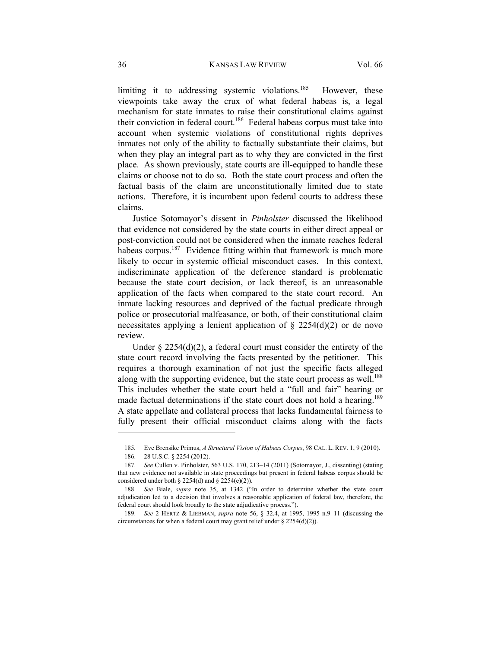limiting it to addressing systemic violations.<sup>185</sup> However, these viewpoints take away the crux of what federal habeas is, a legal mechanism for state inmates to raise their constitutional claims against their conviction in federal court.<sup>186</sup> Federal habeas corpus must take into account when systemic violations of constitutional rights deprives inmates not only of the ability to factually substantiate their claims, but when they play an integral part as to why they are convicted in the first place. As shown previously, state courts are ill-equipped to handle these claims or choose not to do so. Both the state court process and often the factual basis of the claim are unconstitutionally limited due to state actions. Therefore, it is incumbent upon federal courts to address these claims.

Justice Sotomayor's dissent in *Pinholster* discussed the likelihood that evidence not considered by the state courts in either direct appeal or post-conviction could not be considered when the inmate reaches federal habeas corpus.<sup>187</sup> Evidence fitting within that framework is much more likely to occur in systemic official misconduct cases. In this context, indiscriminate application of the deference standard is problematic because the state court decision, or lack thereof, is an unreasonable application of the facts when compared to the state court record. An inmate lacking resources and deprived of the factual predicate through police or prosecutorial malfeasance, or both, of their constitutional claim necessitates applying a lenient application of  $\S$  2254(d)(2) or de novo review.

Under  $\S$  2254(d)(2), a federal court must consider the entirety of the state court record involving the facts presented by the petitioner. This requires a thorough examination of not just the specific facts alleged along with the supporting evidence, but the state court process as well.<sup>188</sup> This includes whether the state court held a "full and fair" hearing or made factual determinations if the state court does not hold a hearing.<sup>189</sup> A state appellate and collateral process that lacks fundamental fairness to fully present their official misconduct claims along with the facts

<sup>185</sup>*.* Eve Brensike Primus, *A Structural Vision of Habeas Corpus*, 98 CAL. L. REV. 1, 9 (2010).

 <sup>186. 28</sup> U.S.C. § 2254 (2012).

 <sup>187.</sup> *See* Cullen v. Pinholster, 563 U.S. 170, 213–14 (2011) (Sotomayor, J., dissenting) (stating that new evidence not available in state proceedings but present in federal habeas corpus should be considered under both  $\S 2254(d)$  and  $\S 2254(e)(2)$ ).

 <sup>188.</sup> *See* Biale, *supra* note 35, at 1342 ("In order to determine whether the state court adjudication led to a decision that involves a reasonable application of federal law, therefore, the federal court should look broadly to the state adjudicative process.").

 <sup>189.</sup> *See* 2 HERTZ & LIEBMAN, *supra* note 56, § 32.4, at 1995, 1995 n.9–11 (discussing the circumstances for when a federal court may grant relief under § 2254(d)(2)).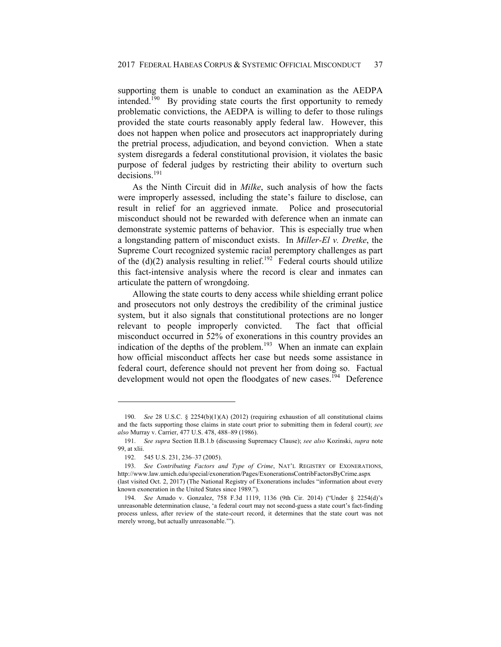supporting them is unable to conduct an examination as the AEDPA intended.<sup>190</sup> By providing state courts the first opportunity to remedy problematic convictions, the AEDPA is willing to defer to those rulings provided the state courts reasonably apply federal law. However, this does not happen when police and prosecutors act inappropriately during the pretrial process, adjudication, and beyond conviction. When a state system disregards a federal constitutional provision, it violates the basic purpose of federal judges by restricting their ability to overturn such decisions.<sup>191</sup>

As the Ninth Circuit did in *Milke*, such analysis of how the facts were improperly assessed, including the state's failure to disclose, can result in relief for an aggrieved inmate. Police and prosecutorial misconduct should not be rewarded with deference when an inmate can demonstrate systemic patterns of behavior. This is especially true when a longstanding pattern of misconduct exists. In *Miller-El v. Dretke*, the Supreme Court recognized systemic racial peremptory challenges as part of the  $(d)(2)$  analysis resulting in relief.<sup>192</sup> Federal courts should utilize this fact-intensive analysis where the record is clear and inmates can articulate the pattern of wrongdoing.

Allowing the state courts to deny access while shielding errant police and prosecutors not only destroys the credibility of the criminal justice system, but it also signals that constitutional protections are no longer relevant to people improperly convicted. The fact that official misconduct occurred in 52% of exonerations in this country provides an indication of the depths of the problem.<sup>193</sup> When an inmate can explain how official misconduct affects her case but needs some assistance in federal court, deference should not prevent her from doing so. Factual development would not open the floodgates of new cases.<sup>194</sup> Deference

 <sup>190.</sup> *See* 28 U.S.C. § 2254(b)(1)(A) (2012) (requiring exhaustion of all constitutional claims and the facts supporting those claims in state court prior to submitting them in federal court); *see also* Murray v. Carrier, 477 U.S. 478, 488–89 (1986).

 <sup>191.</sup> *See supra* Section II.B.1.b (discussing Supremacy Clause); *see also* Kozinski, *supra* note 99, at xlii.

 <sup>192. 545</sup> U.S. 231, 236–37 (2005).

 <sup>193.</sup> *See Contributing Factors and Type of Crime*, NAT'L REGISTRY OF EXONERATIONS, http://www.law.umich.edu/special/exoneration/Pages/ExonerationsContribFactorsByCrime.aspx

<sup>(</sup>last visited Oct. 2, 2017) (The National Registry of Exonerations includes "information about every known exoneration in the United States since 1989.").

 <sup>194.</sup> *See* Amado v. Gonzalez, 758 F.3d 1119, 1136 (9th Cir. 2014) ("Under § 2254(d)'s unreasonable determination clause, 'a federal court may not second-guess a state court's fact-finding process unless, after review of the state-court record, it determines that the state court was not merely wrong, but actually unreasonable.'").